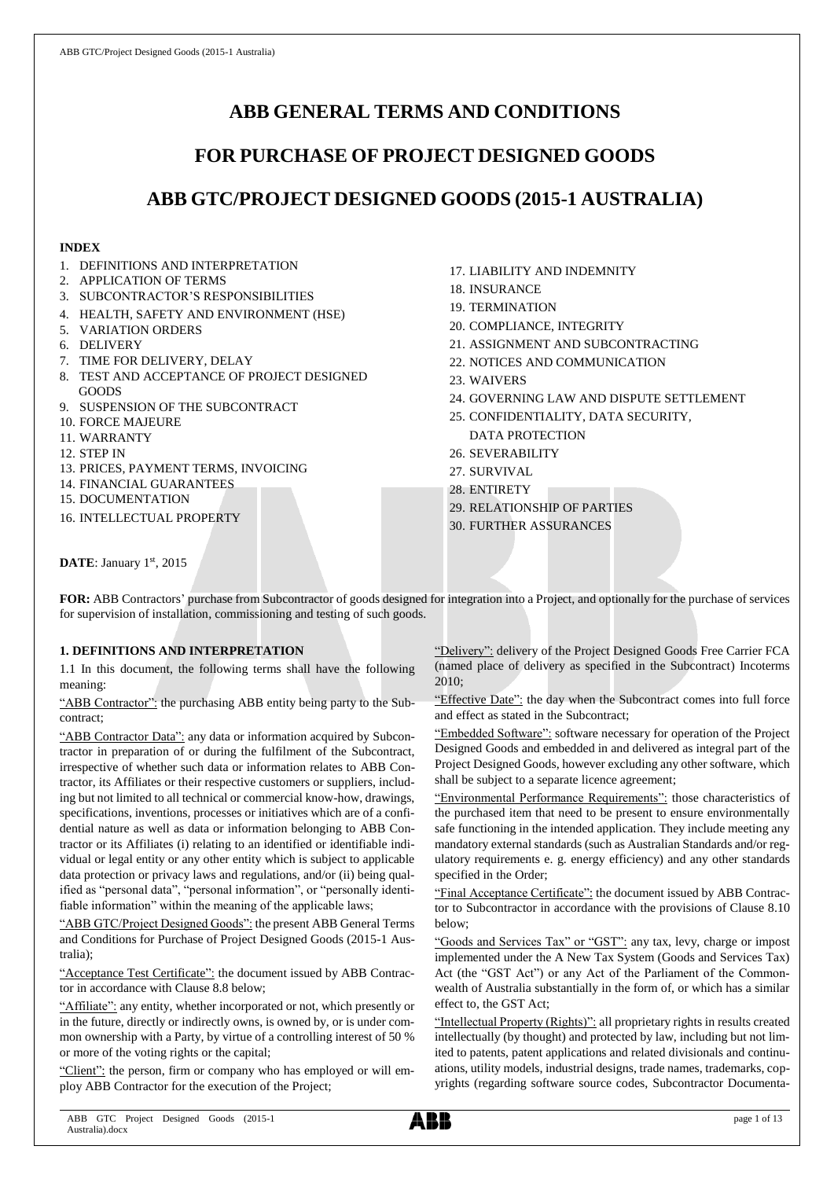# **ABB GENERAL TERMS AND CONDITIONS**

# **FOR PURCHASE OF PROJECT DESIGNED GOODS**

# **ABB GTC/PROJECT DESIGNED GOODS (2015-1 AUSTRALIA)**

## **INDEX**

- 1. DEFINITIONS AND INTERPRETATION
- 2. APPLICATION OF TERMS
- 3. SUBCONTRACTOR'S RESPONSIBILITIES
- 4. HEALTH, SAFETY AND ENVIRONMENT (HSE)
- 5. VARIATION ORDERS
- 6. DELIVERY
- 7. TIME FOR DELIVERY, DELAY
- 8. TEST AND ACCEPTANCE OF PROJECT DESIGNED GOODS
- 9. SUSPENSION OF THE SUBCONTRACT
- 10. FORCE MAJEURE
- 11. WARRANTY
- 12. STEP IN
- 13. PRICES, PAYMENT TERMS, INVOICING
- 14. FINANCIAL GUARANTEES
- 15. DOCUMENTATION
- 16. INTELLECTUAL PROPERTY
- 17. LIABILITY AND INDEMNITY
- 18. INSURANCE
- 19. TERMINATION
- 20. COMPLIANCE, INTEGRITY
- 21. ASSIGNMENT AND SUBCONTRACTING
- 22. NOTICES AND COMMUNICATION
- 23. WAIVERS
- 24. GOVERNING LAW AND DISPUTE SETTLEMENT
- 25. CONFIDENTIALITY, DATA SECURITY, DATA PROTECTION
- 26. SEVERABILITY
- 27. SURVIVAL
- 28. ENTIRETY
- 29. RELATIONSHIP OF PARTIES
- 30. FURTHER ASSURANCES

DATE: January 1st, 2015

**FOR:** ABB Contractors' purchase from Subcontractor of goods designed for integration into a Project, and optionally for the purchase of services for supervision of installation, commissioning and testing of such goods.

## **1. DEFINITIONS AND INTERPRETATION**

1.1 In this document, the following terms shall have the following meaning:

"ABB Contractor": the purchasing ABB entity being party to the Subcontract;

"ABB Contractor Data": any data or information acquired by Subcontractor in preparation of or during the fulfilment of the Subcontract, irrespective of whether such data or information relates to ABB Contractor, its Affiliates or their respective customers or suppliers, including but not limited to all technical or commercial know-how, drawings, specifications, inventions, processes or initiatives which are of a confidential nature as well as data or information belonging to ABB Contractor or its Affiliates (i) relating to an identified or identifiable individual or legal entity or any other entity which is subject to applicable data protection or privacy laws and regulations, and/or (ii) being qualified as "personal data", "personal information", or "personally identifiable information" within the meaning of the applicable laws;

"ABB GTC/Project Designed Goods": the present ABB General Terms and Conditions for Purchase of Project Designed Goods (2015-1 Australia);

"Acceptance Test Certificate": the document issued by ABB Contractor in accordance with Clause 8.8 below;

"Affiliate": any entity, whether incorporated or not, which presently or in the future, directly or indirectly owns, is owned by, or is under common ownership with a Party, by virtue of a controlling interest of 50 % or more of the voting rights or the capital;

"Client": the person, firm or company who has employed or will employ ABB Contractor for the execution of the Project;

"Delivery": delivery of the Project Designed Goods Free Carrier FCA (named place of delivery as specified in the Subcontract) Incoterms 2010;

"Effective Date": the day when the Subcontract comes into full force and effect as stated in the Subcontract;

"Embedded Software": software necessary for operation of the Project Designed Goods and embedded in and delivered as integral part of the Project Designed Goods, however excluding any other software, which shall be subject to a separate licence agreement;

"Environmental Performance Requirements": those characteristics of the purchased item that need to be present to ensure environmentally safe functioning in the intended application. They include meeting any mandatory external standards (such as Australian Standards and/or regulatory requirements e. g. energy efficiency) and any other standards specified in the Order;

"Final Acceptance Certificate": the document issued by ABB Contractor to Subcontractor in accordance with the provisions of Clause 8.10 below;

"Goods and Services Tax" or "GST": any tax, levy, charge or impost implemented under the A New Tax System (Goods and Services Tax) Act (the "GST Act") or any Act of the Parliament of the Commonwealth of Australia substantially in the form of, or which has a similar effect to, the GST Act;

"Intellectual Property (Rights)": all proprietary rights in results created intellectually (by thought) and protected by law, including but not limited to patents, patent applications and related divisionals and continuations, utility models, industrial designs, trade names, trademarks, copyrights (regarding software source codes, Subcontractor Documenta-

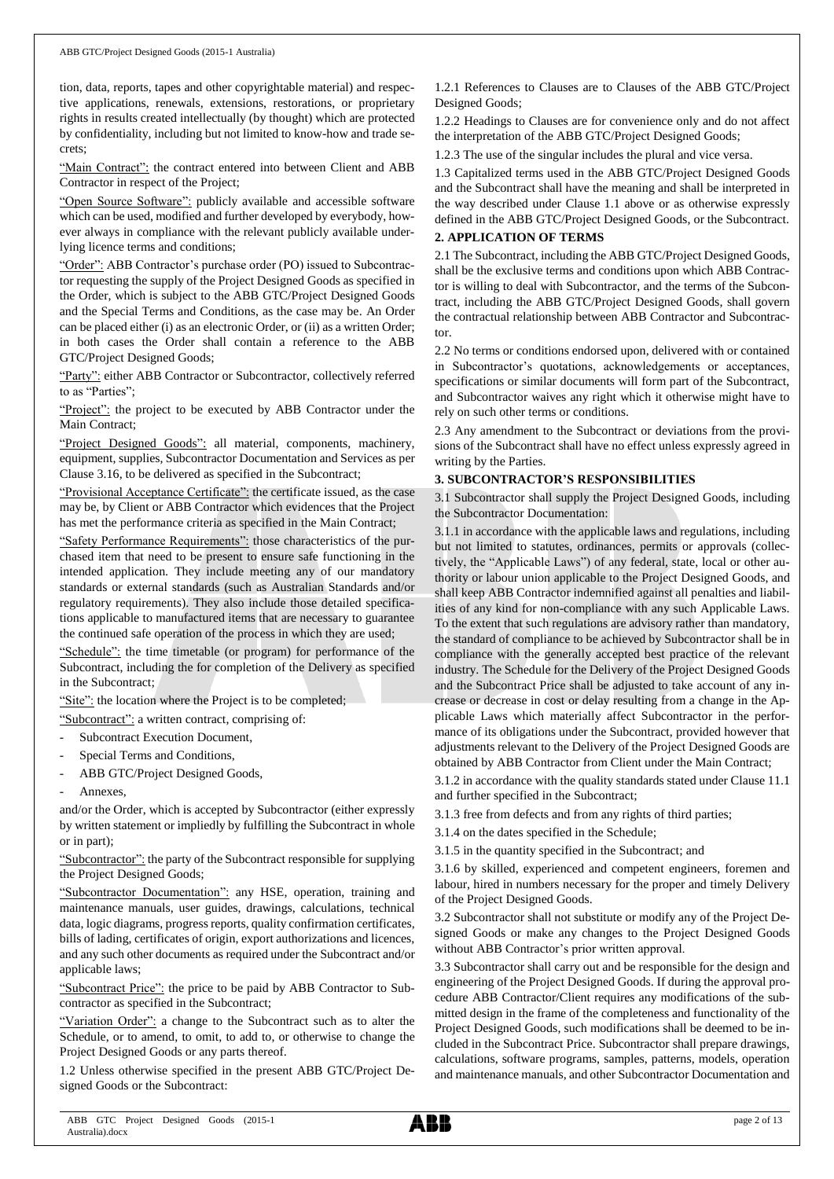tion, data, reports, tapes and other copyrightable material) and respective applications, renewals, extensions, restorations, or proprietary rights in results created intellectually (by thought) which are protected by confidentiality, including but not limited to know-how and trade secrets;

"Main Contract": the contract entered into between Client and ABB Contractor in respect of the Project;

"Open Source Software": publicly available and accessible software which can be used, modified and further developed by everybody, however always in compliance with the relevant publicly available underlying licence terms and conditions;

"Order": ABB Contractor's purchase order (PO) issued to Subcontractor requesting the supply of the Project Designed Goods as specified in the Order, which is subject to the ABB GTC/Project Designed Goods and the Special Terms and Conditions, as the case may be. An Order can be placed either (i) as an electronic Order, or (ii) as a written Order; in both cases the Order shall contain a reference to the ABB GTC/Project Designed Goods;

"Party": either ABB Contractor or Subcontractor, collectively referred to as "Parties";

"Project": the project to be executed by ABB Contractor under the Main Contract;

"Project Designed Goods": all material, components, machinery, equipment, supplies, Subcontractor Documentation and Services as per Clause 3.16, to be delivered as specified in the Subcontract;

"Provisional Acceptance Certificate": the certificate issued, as the case may be, by Client or ABB Contractor which evidences that the Project has met the performance criteria as specified in the Main Contract;

"Safety Performance Requirements": those characteristics of the purchased item that need to be present to ensure safe functioning in the intended application. They include meeting any of our mandatory standards or external standards (such as Australian Standards and/or regulatory requirements). They also include those detailed specifications applicable to manufactured items that are necessary to guarantee the continued safe operation of the process in which they are used;

"Schedule": the time timetable (or program) for performance of the Subcontract, including the for completion of the Delivery as specified in the Subcontract;

"Site": the location where the Project is to be completed;

"Subcontract": a written contract, comprising of:

- Subcontract Execution Document,
- Special Terms and Conditions,
- ABB GTC/Project Designed Goods,
- Annexes.

and/or the Order, which is accepted by Subcontractor (either expressly by written statement or impliedly by fulfilling the Subcontract in whole or in part);

"Subcontractor": the party of the Subcontract responsible for supplying the Project Designed Goods;

"Subcontractor Documentation": any HSE, operation, training and maintenance manuals, user guides, drawings, calculations, technical data, logic diagrams, progress reports, quality confirmation certificates, bills of lading, certificates of origin, export authorizations and licences, and any such other documents as required under the Subcontract and/or applicable laws;

"Subcontract Price": the price to be paid by ABB Contractor to Subcontractor as specified in the Subcontract;

"Variation Order": a change to the Subcontract such as to alter the Schedule, or to amend, to omit, to add to, or otherwise to change the Project Designed Goods or any parts thereof.

1.2 Unless otherwise specified in the present ABB GTC/Project Designed Goods or the Subcontract:

1.2.1 References to Clauses are to Clauses of the ABB GTC/Project Designed Goods;

1.2.2 Headings to Clauses are for convenience only and do not affect the interpretation of the ABB GTC/Project Designed Goods;

1.2.3 The use of the singular includes the plural and vice versa.

1.3 Capitalized terms used in the ABB GTC/Project Designed Goods and the Subcontract shall have the meaning and shall be interpreted in the way described under Clause 1.1 above or as otherwise expressly defined in the ABB GTC/Project Designed Goods, or the Subcontract.

#### **2. APPLICATION OF TERMS**

2.1 The Subcontract, including the ABB GTC/Project Designed Goods, shall be the exclusive terms and conditions upon which ABB Contractor is willing to deal with Subcontractor, and the terms of the Subcontract, including the ABB GTC/Project Designed Goods, shall govern the contractual relationship between ABB Contractor and Subcontractor.

2.2 No terms or conditions endorsed upon, delivered with or contained in Subcontractor's quotations, acknowledgements or acceptances, specifications or similar documents will form part of the Subcontract, and Subcontractor waives any right which it otherwise might have to rely on such other terms or conditions.

2.3 Any amendment to the Subcontract or deviations from the provisions of the Subcontract shall have no effect unless expressly agreed in writing by the Parties.

#### **3. SUBCONTRACTOR'S RESPONSIBILITIES**

3.1 Subcontractor shall supply the Project Designed Goods, including the Subcontractor Documentation:

3.1.1 in accordance with the applicable laws and regulations, including but not limited to statutes, ordinances, permits or approvals (collectively, the "Applicable Laws") of any federal, state, local or other authority or labour union applicable to the Project Designed Goods, and shall keep ABB Contractor indemnified against all penalties and liabilities of any kind for non-compliance with any such Applicable Laws. To the extent that such regulations are advisory rather than mandatory, the standard of compliance to be achieved by Subcontractor shall be in compliance with the generally accepted best practice of the relevant industry. The Schedule for the Delivery of the Project Designed Goods and the Subcontract Price shall be adjusted to take account of any increase or decrease in cost or delay resulting from a change in the Applicable Laws which materially affect Subcontractor in the performance of its obligations under the Subcontract, provided however that adjustments relevant to the Delivery of the Project Designed Goods are obtained by ABB Contractor from Client under the Main Contract;

3.1.2 in accordance with the quality standards stated under Clause 11.1 and further specified in the Subcontract;

3.1.3 free from defects and from any rights of third parties;

3.1.4 on the dates specified in the Schedule;

3.1.5 in the quantity specified in the Subcontract; and

3.1.6 by skilled, experienced and competent engineers, foremen and labour, hired in numbers necessary for the proper and timely Delivery of the Project Designed Goods.

3.2 Subcontractor shall not substitute or modify any of the Project Designed Goods or make any changes to the Project Designed Goods without ABB Contractor's prior written approval.

3.3 Subcontractor shall carry out and be responsible for the design and engineering of the Project Designed Goods. If during the approval procedure ABB Contractor/Client requires any modifications of the submitted design in the frame of the completeness and functionality of the Project Designed Goods, such modifications shall be deemed to be included in the Subcontract Price. Subcontractor shall prepare drawings, calculations, software programs, samples, patterns, models, operation and maintenance manuals, and other Subcontractor Documentation and

ABB GTC Project Designed Goods (2015-1 Australia).docx

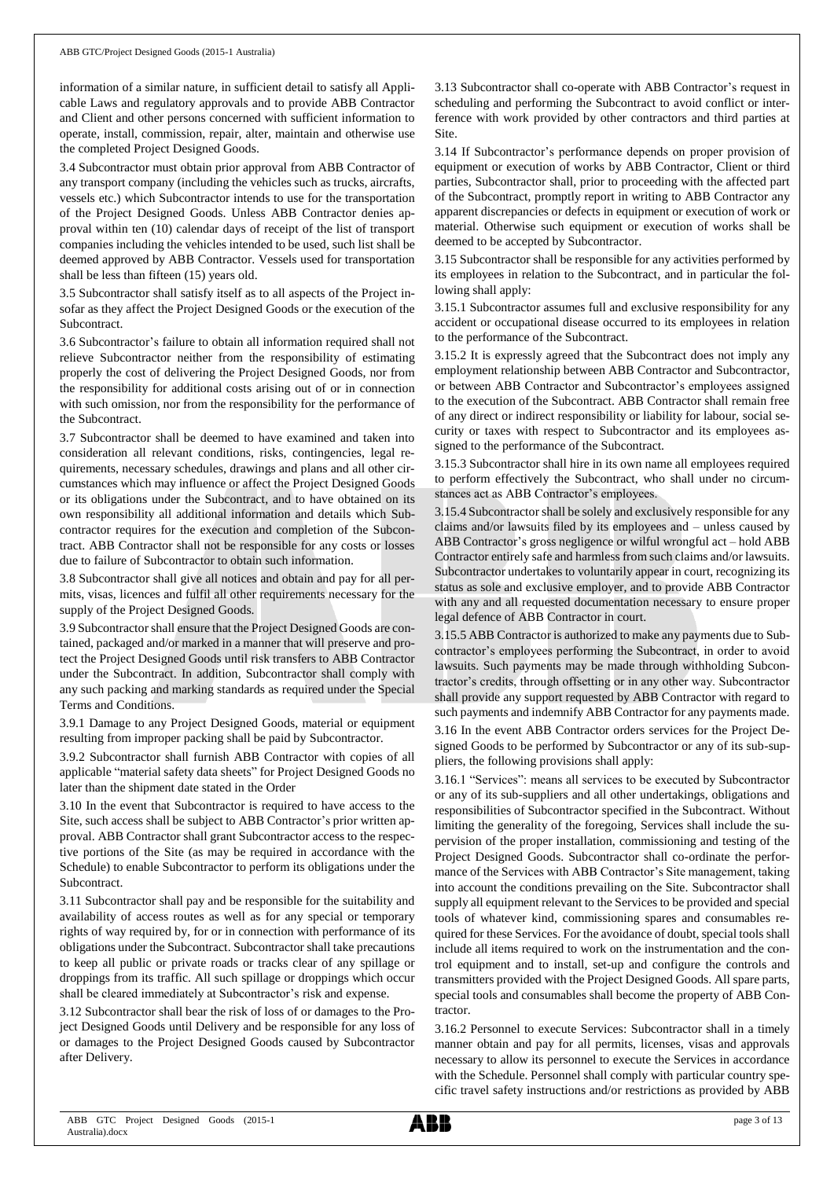information of a similar nature, in sufficient detail to satisfy all Applicable Laws and regulatory approvals and to provide ABB Contractor and Client and other persons concerned with sufficient information to operate, install, commission, repair, alter, maintain and otherwise use the completed Project Designed Goods.

3.4 Subcontractor must obtain prior approval from ABB Contractor of any transport company (including the vehicles such as trucks, aircrafts, vessels etc.) which Subcontractor intends to use for the transportation of the Project Designed Goods. Unless ABB Contractor denies approval within ten (10) calendar days of receipt of the list of transport companies including the vehicles intended to be used, such list shall be deemed approved by ABB Contractor. Vessels used for transportation shall be less than fifteen (15) years old.

3.5 Subcontractor shall satisfy itself as to all aspects of the Project insofar as they affect the Project Designed Goods or the execution of the Subcontract.

3.6 Subcontractor's failure to obtain all information required shall not relieve Subcontractor neither from the responsibility of estimating properly the cost of delivering the Project Designed Goods, nor from the responsibility for additional costs arising out of or in connection with such omission, nor from the responsibility for the performance of the Subcontract.

3.7 Subcontractor shall be deemed to have examined and taken into consideration all relevant conditions, risks, contingencies, legal requirements, necessary schedules, drawings and plans and all other circumstances which may influence or affect the Project Designed Goods or its obligations under the Subcontract, and to have obtained on its own responsibility all additional information and details which Subcontractor requires for the execution and completion of the Subcontract. ABB Contractor shall not be responsible for any costs or losses due to failure of Subcontractor to obtain such information.

3.8 Subcontractor shall give all notices and obtain and pay for all permits, visas, licences and fulfil all other requirements necessary for the supply of the Project Designed Goods.

3.9 Subcontractorshall ensure that the Project Designed Goods are contained, packaged and/or marked in a manner that will preserve and protect the Project Designed Goods until risk transfers to ABB Contractor under the Subcontract. In addition, Subcontractor shall comply with any such packing and marking standards as required under the Special Terms and Conditions.

3.9.1 Damage to any Project Designed Goods, material or equipment resulting from improper packing shall be paid by Subcontractor.

3.9.2 Subcontractor shall furnish ABB Contractor with copies of all applicable "material safety data sheets" for Project Designed Goods no later than the shipment date stated in the Order

3.10 In the event that Subcontractor is required to have access to the Site, such access shall be subject to ABB Contractor's prior written approval. ABB Contractor shall grant Subcontractor access to the respective portions of the Site (as may be required in accordance with the Schedule) to enable Subcontractor to perform its obligations under the Subcontract.

3.11 Subcontractor shall pay and be responsible for the suitability and availability of access routes as well as for any special or temporary rights of way required by, for or in connection with performance of its obligations under the Subcontract. Subcontractor shall take precautions to keep all public or private roads or tracks clear of any spillage or droppings from its traffic. All such spillage or droppings which occur shall be cleared immediately at Subcontractor's risk and expense.

3.12 Subcontractor shall bear the risk of loss of or damages to the Project Designed Goods until Delivery and be responsible for any loss of or damages to the Project Designed Goods caused by Subcontractor after Delivery.

3.13 Subcontractor shall co-operate with ABB Contractor's request in scheduling and performing the Subcontract to avoid conflict or interference with work provided by other contractors and third parties at Site.

3.14 If Subcontractor's performance depends on proper provision of equipment or execution of works by ABB Contractor, Client or third parties, Subcontractor shall, prior to proceeding with the affected part of the Subcontract, promptly report in writing to ABB Contractor any apparent discrepancies or defects in equipment or execution of work or material. Otherwise such equipment or execution of works shall be deemed to be accepted by Subcontractor.

3.15 Subcontractor shall be responsible for any activities performed by its employees in relation to the Subcontract, and in particular the following shall apply:

3.15.1 Subcontractor assumes full and exclusive responsibility for any accident or occupational disease occurred to its employees in relation to the performance of the Subcontract.

3.15.2 It is expressly agreed that the Subcontract does not imply any employment relationship between ABB Contractor and Subcontractor, or between ABB Contractor and Subcontractor's employees assigned to the execution of the Subcontract. ABB Contractor shall remain free of any direct or indirect responsibility or liability for labour, social security or taxes with respect to Subcontractor and its employees assigned to the performance of the Subcontract.

3.15.3 Subcontractor shall hire in its own name all employees required to perform effectively the Subcontract, who shall under no circumstances act as ABB Contractor's employees.

3.15.4 Subcontractor shall be solely and exclusively responsible for any claims and/or lawsuits filed by its employees and – unless caused by ABB Contractor's gross negligence or wilful wrongful act – hold ABB Contractor entirely safe and harmless from such claims and/or lawsuits. Subcontractor undertakes to voluntarily appear in court, recognizing its status as sole and exclusive employer, and to provide ABB Contractor with any and all requested documentation necessary to ensure proper legal defence of ABB Contractor in court.

3.15.5 ABB Contractor is authorized to make any payments due to Subcontractor's employees performing the Subcontract, in order to avoid lawsuits. Such payments may be made through withholding Subcontractor's credits, through offsetting or in any other way. Subcontractor shall provide any support requested by ABB Contractor with regard to such payments and indemnify ABB Contractor for any payments made.

3.16 In the event ABB Contractor orders services for the Project Designed Goods to be performed by Subcontractor or any of its sub-suppliers, the following provisions shall apply:

3.16.1 "Services": means all services to be executed by Subcontractor or any of its sub-suppliers and all other undertakings, obligations and responsibilities of Subcontractor specified in the Subcontract. Without limiting the generality of the foregoing, Services shall include the supervision of the proper installation, commissioning and testing of the Project Designed Goods. Subcontractor shall co-ordinate the performance of the Services with ABB Contractor's Site management, taking into account the conditions prevailing on the Site. Subcontractor shall supply all equipment relevant to the Services to be provided and special tools of whatever kind, commissioning spares and consumables required for these Services. For the avoidance of doubt, special tools shall include all items required to work on the instrumentation and the control equipment and to install, set-up and configure the controls and transmitters provided with the Project Designed Goods. All spare parts, special tools and consumables shall become the property of ABB Contractor.

3.16.2 Personnel to execute Services: Subcontractor shall in a timely manner obtain and pay for all permits, licenses, visas and approvals necessary to allow its personnel to execute the Services in accordance with the Schedule. Personnel shall comply with particular country specific travel safety instructions and/or restrictions as provided by ABB

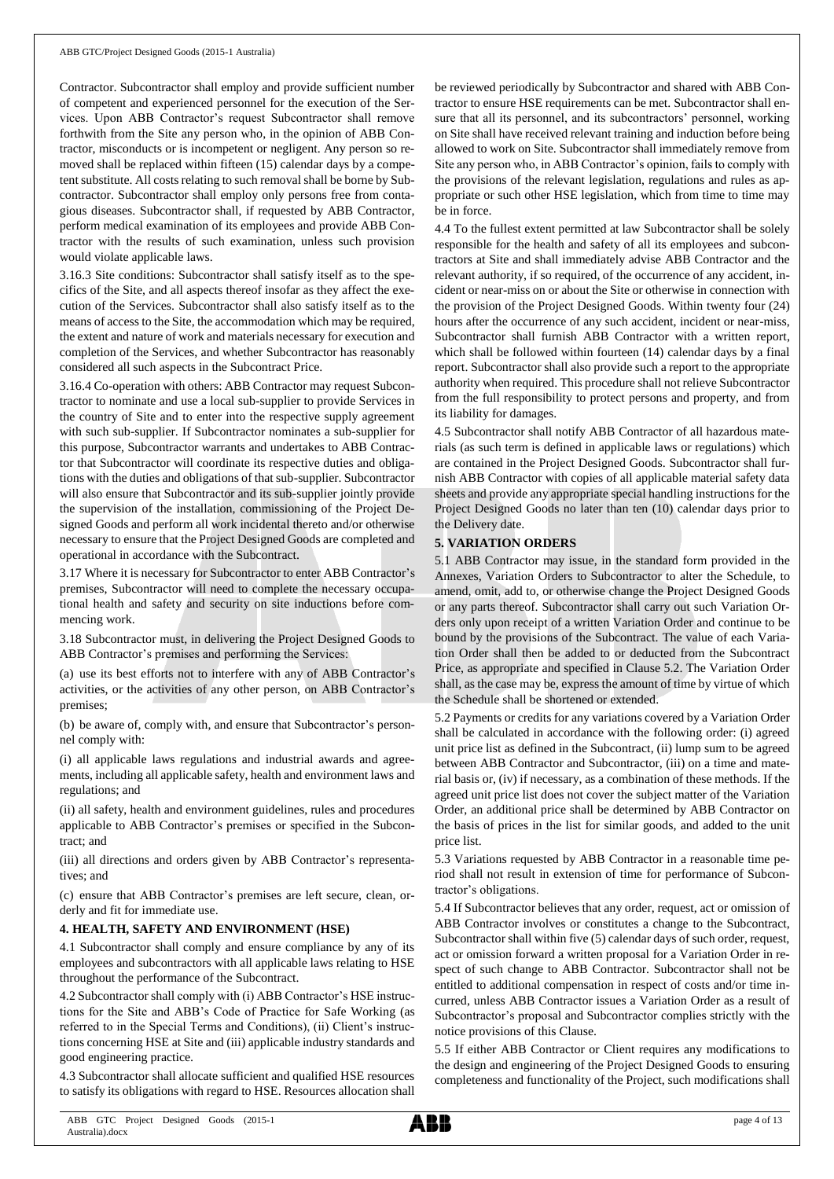Contractor. Subcontractor shall employ and provide sufficient number of competent and experienced personnel for the execution of the Services. Upon ABB Contractor's request Subcontractor shall remove forthwith from the Site any person who, in the opinion of ABB Contractor, misconducts or is incompetent or negligent. Any person so removed shall be replaced within fifteen (15) calendar days by a competent substitute. All costs relating to such removal shall be borne by Subcontractor. Subcontractor shall employ only persons free from contagious diseases. Subcontractor shall, if requested by ABB Contractor, perform medical examination of its employees and provide ABB Contractor with the results of such examination, unless such provision would violate applicable laws.

3.16.3 Site conditions: Subcontractor shall satisfy itself as to the specifics of the Site, and all aspects thereof insofar as they affect the execution of the Services. Subcontractor shall also satisfy itself as to the means of access to the Site, the accommodation which may be required, the extent and nature of work and materials necessary for execution and completion of the Services, and whether Subcontractor has reasonably considered all such aspects in the Subcontract Price.

3.16.4 Co-operation with others: ABB Contractor may request Subcontractor to nominate and use a local sub-supplier to provide Services in the country of Site and to enter into the respective supply agreement with such sub-supplier. If Subcontractor nominates a sub-supplier for this purpose, Subcontractor warrants and undertakes to ABB Contractor that Subcontractor will coordinate its respective duties and obligations with the duties and obligations of that sub-supplier. Subcontractor will also ensure that Subcontractor and its sub-supplier jointly provide the supervision of the installation, commissioning of the Project Designed Goods and perform all work incidental thereto and/or otherwise necessary to ensure that the Project Designed Goods are completed and operational in accordance with the Subcontract.

3.17 Where it is necessary for Subcontractor to enter ABB Contractor's premises, Subcontractor will need to complete the necessary occupational health and safety and security on site inductions before commencing work.

3.18 Subcontractor must, in delivering the Project Designed Goods to ABB Contractor's premises and performing the Services:

(a) use its best efforts not to interfere with any of ABB Contractor's activities, or the activities of any other person, on ABB Contractor's premises;

(b) be aware of, comply with, and ensure that Subcontractor's personnel comply with:

(i) all applicable laws regulations and industrial awards and agreements, including all applicable safety, health and environment laws and regulations; and

(ii) all safety, health and environment guidelines, rules and procedures applicable to ABB Contractor's premises or specified in the Subcontract; and

(iii) all directions and orders given by ABB Contractor's representatives; and

(c) ensure that ABB Contractor's premises are left secure, clean, orderly and fit for immediate use.

## **4. HEALTH, SAFETY AND ENVIRONMENT (HSE)**

4.1 Subcontractor shall comply and ensure compliance by any of its employees and subcontractors with all applicable laws relating to HSE throughout the performance of the Subcontract.

4.2 Subcontractor shall comply with (i) ABB Contractor's HSE instructions for the Site and ABB's Code of Practice for Safe Working (as referred to in the Special Terms and Conditions), (ii) Client's instructions concerning HSE at Site and (iii) applicable industry standards and good engineering practice.

4.3 Subcontractor shall allocate sufficient and qualified HSE resources to satisfy its obligations with regard to HSE. Resources allocation shall be reviewed periodically by Subcontractor and shared with ABB Contractor to ensure HSE requirements can be met. Subcontractor shall ensure that all its personnel, and its subcontractors' personnel, working on Site shall have received relevant training and induction before being allowed to work on Site. Subcontractor shall immediately remove from Site any person who, in ABB Contractor's opinion, fails to comply with the provisions of the relevant legislation, regulations and rules as appropriate or such other HSE legislation, which from time to time may be in force.

4.4 To the fullest extent permitted at law Subcontractor shall be solely responsible for the health and safety of all its employees and subcontractors at Site and shall immediately advise ABB Contractor and the relevant authority, if so required, of the occurrence of any accident, incident or near-miss on or about the Site or otherwise in connection with the provision of the Project Designed Goods. Within twenty four (24) hours after the occurrence of any such accident, incident or near-miss, Subcontractor shall furnish ABB Contractor with a written report, which shall be followed within fourteen (14) calendar days by a final report. Subcontractor shall also provide such a report to the appropriate authority when required. This procedure shall not relieve Subcontractor from the full responsibility to protect persons and property, and from its liability for damages.

4.5 Subcontractor shall notify ABB Contractor of all hazardous materials (as such term is defined in applicable laws or regulations) which are contained in the Project Designed Goods. Subcontractor shall furnish ABB Contractor with copies of all applicable material safety data sheets and provide any appropriate special handling instructions for the Project Designed Goods no later than ten (10) calendar days prior to the Delivery date.

### **5. VARIATION ORDERS**

5.1 ABB Contractor may issue, in the standard form provided in the Annexes, Variation Orders to Subcontractor to alter the Schedule, to amend, omit, add to, or otherwise change the Project Designed Goods or any parts thereof. Subcontractor shall carry out such Variation Orders only upon receipt of a written Variation Order and continue to be bound by the provisions of the Subcontract. The value of each Variation Order shall then be added to or deducted from the Subcontract Price, as appropriate and specified in Clause 5.2. The Variation Order shall, as the case may be, express the amount of time by virtue of which the Schedule shall be shortened or extended.

5.2 Payments or credits for any variations covered by a Variation Order shall be calculated in accordance with the following order: (i) agreed unit price list as defined in the Subcontract, (ii) lump sum to be agreed between ABB Contractor and Subcontractor, (iii) on a time and material basis or, (iv) if necessary, as a combination of these methods. If the agreed unit price list does not cover the subject matter of the Variation Order, an additional price shall be determined by ABB Contractor on the basis of prices in the list for similar goods, and added to the unit price list.

5.3 Variations requested by ABB Contractor in a reasonable time period shall not result in extension of time for performance of Subcontractor's obligations.

5.4 If Subcontractor believes that any order, request, act or omission of ABB Contractor involves or constitutes a change to the Subcontract, Subcontractor shall within five (5) calendar days of such order, request, act or omission forward a written proposal for a Variation Order in respect of such change to ABB Contractor. Subcontractor shall not be entitled to additional compensation in respect of costs and/or time incurred, unless ABB Contractor issues a Variation Order as a result of Subcontractor's proposal and Subcontractor complies strictly with the notice provisions of this Clause.

5.5 If either ABB Contractor or Client requires any modifications to the design and engineering of the Project Designed Goods to ensuring completeness and functionality of the Project, such modifications shall

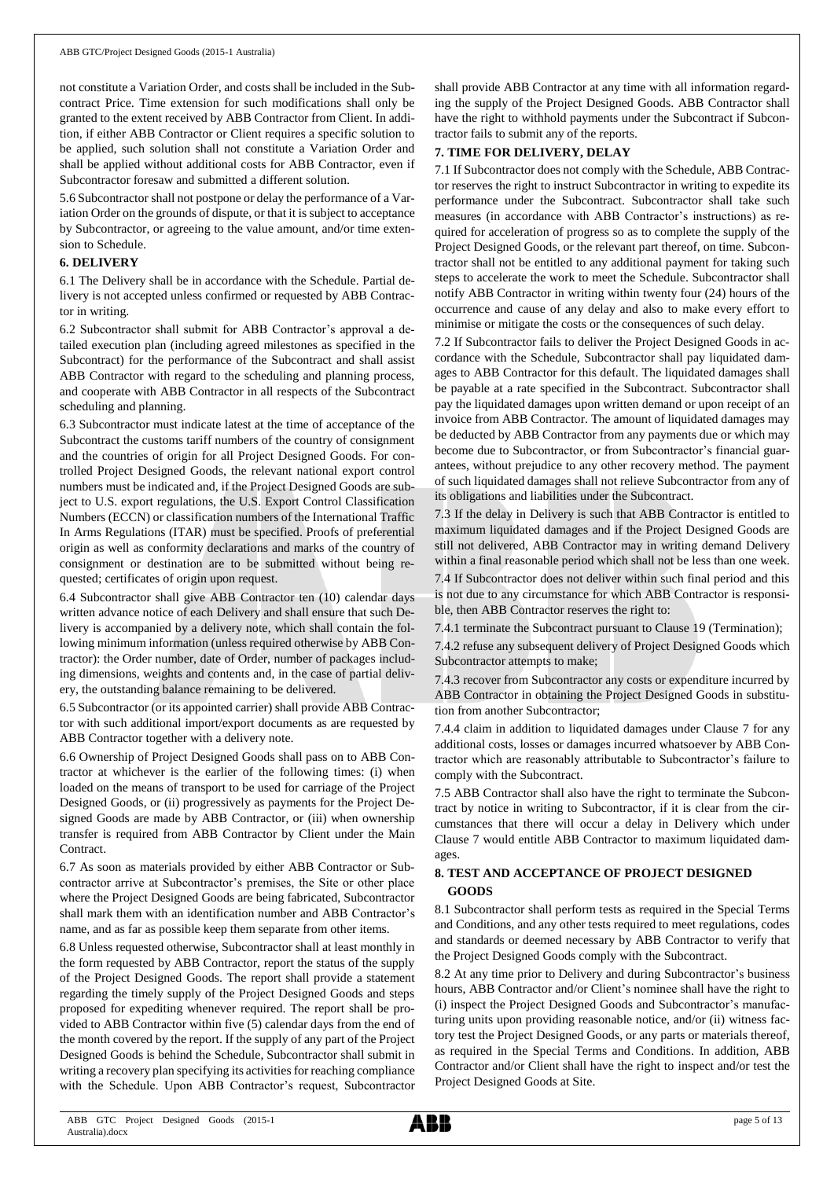not constitute a Variation Order, and costs shall be included in the Subcontract Price. Time extension for such modifications shall only be granted to the extent received by ABB Contractor from Client. In addition, if either ABB Contractor or Client requires a specific solution to be applied, such solution shall not constitute a Variation Order and shall be applied without additional costs for ABB Contractor, even if Subcontractor foresaw and submitted a different solution.

5.6 Subcontractor shall not postpone or delay the performance of a Variation Order on the grounds of dispute, or that it is subject to acceptance by Subcontractor, or agreeing to the value amount, and/or time extension to Schedule.

#### **6. DELIVERY**

6.1 The Delivery shall be in accordance with the Schedule. Partial delivery is not accepted unless confirmed or requested by ABB Contractor in writing.

6.2 Subcontractor shall submit for ABB Contractor's approval a detailed execution plan (including agreed milestones as specified in the Subcontract) for the performance of the Subcontract and shall assist ABB Contractor with regard to the scheduling and planning process, and cooperate with ABB Contractor in all respects of the Subcontract scheduling and planning.

6.3 Subcontractor must indicate latest at the time of acceptance of the Subcontract the customs tariff numbers of the country of consignment and the countries of origin for all Project Designed Goods. For controlled Project Designed Goods, the relevant national export control numbers must be indicated and, if the Project Designed Goods are subject to U.S. export regulations, the U.S. Export Control Classification Numbers (ECCN) or classification numbers of the International Traffic In Arms Regulations (ITAR) must be specified. Proofs of preferential origin as well as conformity declarations and marks of the country of consignment or destination are to be submitted without being requested; certificates of origin upon request.

6.4 Subcontractor shall give ABB Contractor ten (10) calendar days written advance notice of each Delivery and shall ensure that such Delivery is accompanied by a delivery note, which shall contain the following minimum information (unless required otherwise by ABB Contractor): the Order number, date of Order, number of packages including dimensions, weights and contents and, in the case of partial delivery, the outstanding balance remaining to be delivered.

6.5 Subcontractor (or its appointed carrier) shall provide ABB Contractor with such additional import/export documents as are requested by ABB Contractor together with a delivery note.

6.6 Ownership of Project Designed Goods shall pass on to ABB Contractor at whichever is the earlier of the following times: (i) when loaded on the means of transport to be used for carriage of the Project Designed Goods, or (ii) progressively as payments for the Project Designed Goods are made by ABB Contractor, or (iii) when ownership transfer is required from ABB Contractor by Client under the Main Contract.

6.7 As soon as materials provided by either ABB Contractor or Subcontractor arrive at Subcontractor's premises, the Site or other place where the Project Designed Goods are being fabricated, Subcontractor shall mark them with an identification number and ABB Contractor's name, and as far as possible keep them separate from other items.

6.8 Unless requested otherwise, Subcontractor shall at least monthly in the form requested by ABB Contractor, report the status of the supply of the Project Designed Goods. The report shall provide a statement regarding the timely supply of the Project Designed Goods and steps proposed for expediting whenever required. The report shall be provided to ABB Contractor within five (5) calendar days from the end of the month covered by the report. If the supply of any part of the Project Designed Goods is behind the Schedule, Subcontractor shall submit in writing a recovery plan specifying its activities for reaching compliance with the Schedule. Upon ABB Contractor's request, Subcontractor shall provide ABB Contractor at any time with all information regarding the supply of the Project Designed Goods. ABB Contractor shall have the right to withhold payments under the Subcontract if Subcontractor fails to submit any of the reports.

### **7. TIME FOR DELIVERY, DELAY**

7.1 If Subcontractor does not comply with the Schedule, ABB Contractor reserves the right to instruct Subcontractor in writing to expedite its performance under the Subcontract. Subcontractor shall take such measures (in accordance with ABB Contractor's instructions) as required for acceleration of progress so as to complete the supply of the Project Designed Goods, or the relevant part thereof, on time. Subcontractor shall not be entitled to any additional payment for taking such steps to accelerate the work to meet the Schedule. Subcontractor shall notify ABB Contractor in writing within twenty four (24) hours of the occurrence and cause of any delay and also to make every effort to minimise or mitigate the costs or the consequences of such delay.

7.2 If Subcontractor fails to deliver the Project Designed Goods in accordance with the Schedule, Subcontractor shall pay liquidated damages to ABB Contractor for this default. The liquidated damages shall be payable at a rate specified in the Subcontract. Subcontractor shall pay the liquidated damages upon written demand or upon receipt of an invoice from ABB Contractor. The amount of liquidated damages may be deducted by ABB Contractor from any payments due or which may become due to Subcontractor, or from Subcontractor's financial guarantees, without prejudice to any other recovery method. The payment of such liquidated damages shall not relieve Subcontractor from any of its obligations and liabilities under the Subcontract.

7.3 If the delay in Delivery is such that ABB Contractor is entitled to maximum liquidated damages and if the Project Designed Goods are still not delivered, ABB Contractor may in writing demand Delivery within a final reasonable period which shall not be less than one week. 7.4 If Subcontractor does not deliver within such final period and this is not due to any circumstance for which ABB Contractor is responsible, then ABB Contractor reserves the right to:

7.4.1 terminate the Subcontract pursuant to Clause 19 (Termination);

7.4.2 refuse any subsequent delivery of Project Designed Goods which Subcontractor attempts to make;

7.4.3 recover from Subcontractor any costs or expenditure incurred by ABB Contractor in obtaining the Project Designed Goods in substitution from another Subcontractor;

7.4.4 claim in addition to liquidated damages under Clause 7 for any additional costs, losses or damages incurred whatsoever by ABB Contractor which are reasonably attributable to Subcontractor's failure to comply with the Subcontract.

7.5 ABB Contractor shall also have the right to terminate the Subcontract by notice in writing to Subcontractor, if it is clear from the circumstances that there will occur a delay in Delivery which under Clause 7 would entitle ABB Contractor to maximum liquidated damages.

## **8. TEST AND ACCEPTANCE OF PROJECT DESIGNED GOODS**

8.1 Subcontractor shall perform tests as required in the Special Terms and Conditions, and any other tests required to meet regulations, codes and standards or deemed necessary by ABB Contractor to verify that the Project Designed Goods comply with the Subcontract.

8.2 At any time prior to Delivery and during Subcontractor's business hours, ABB Contractor and/or Client's nominee shall have the right to (i) inspect the Project Designed Goods and Subcontractor's manufacturing units upon providing reasonable notice, and/or (ii) witness factory test the Project Designed Goods, or any parts or materials thereof, as required in the Special Terms and Conditions. In addition, ABB Contractor and/or Client shall have the right to inspect and/or test the Project Designed Goods at Site.

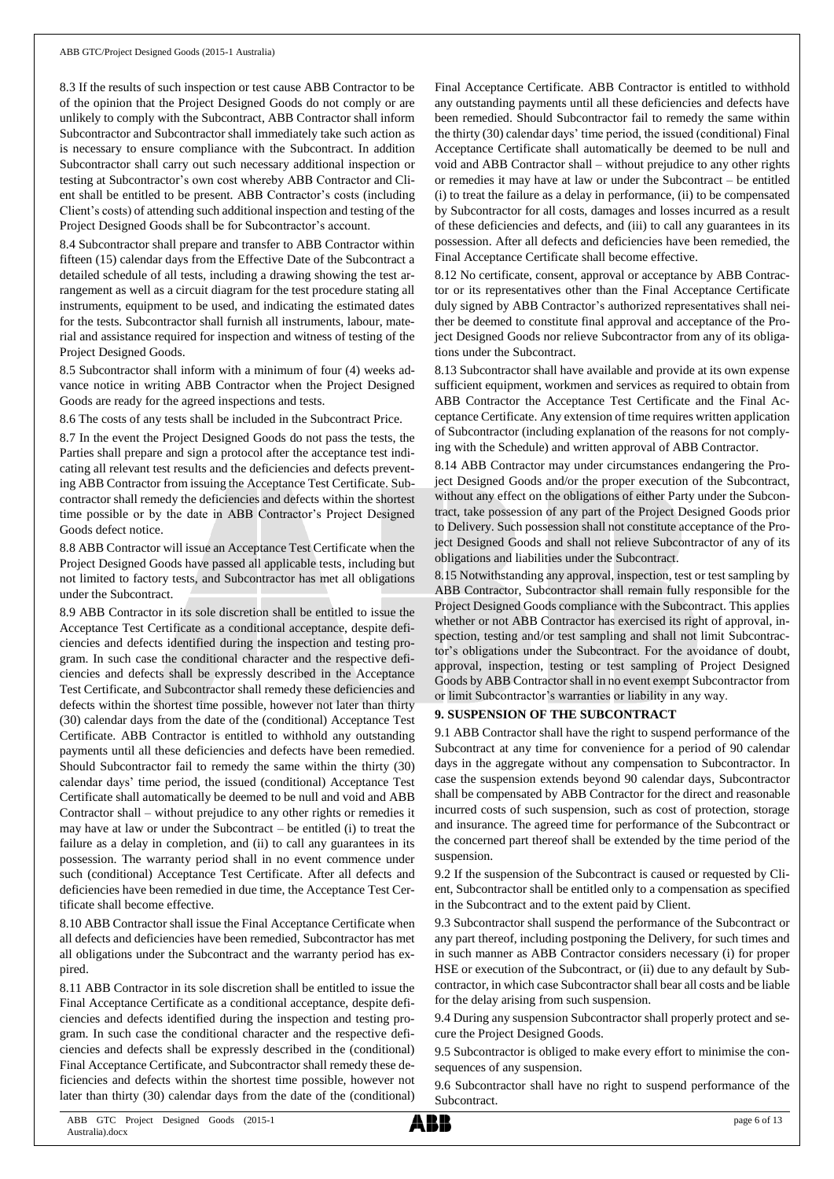8.3 If the results of such inspection or test cause ABB Contractor to be of the opinion that the Project Designed Goods do not comply or are unlikely to comply with the Subcontract, ABB Contractor shall inform Subcontractor and Subcontractor shall immediately take such action as is necessary to ensure compliance with the Subcontract. In addition Subcontractor shall carry out such necessary additional inspection or testing at Subcontractor's own cost whereby ABB Contractor and Client shall be entitled to be present. ABB Contractor's costs (including Client's costs) of attending such additional inspection and testing of the Project Designed Goods shall be for Subcontractor's account.

8.4 Subcontractor shall prepare and transfer to ABB Contractor within fifteen (15) calendar days from the Effective Date of the Subcontract a detailed schedule of all tests, including a drawing showing the test arrangement as well as a circuit diagram for the test procedure stating all instruments, equipment to be used, and indicating the estimated dates for the tests. Subcontractor shall furnish all instruments, labour, material and assistance required for inspection and witness of testing of the Project Designed Goods.

8.5 Subcontractor shall inform with a minimum of four (4) weeks advance notice in writing ABB Contractor when the Project Designed Goods are ready for the agreed inspections and tests.

8.6 The costs of any tests shall be included in the Subcontract Price.

8.7 In the event the Project Designed Goods do not pass the tests, the Parties shall prepare and sign a protocol after the acceptance test indicating all relevant test results and the deficiencies and defects preventing ABB Contractor from issuing the Acceptance Test Certificate. Subcontractor shall remedy the deficiencies and defects within the shortest time possible or by the date in ABB Contractor's Project Designed Goods defect notice.

8.8 ABB Contractor will issue an Acceptance Test Certificate when the Project Designed Goods have passed all applicable tests, including but not limited to factory tests, and Subcontractor has met all obligations under the Subcontract.

8.9 ABB Contractor in its sole discretion shall be entitled to issue the Acceptance Test Certificate as a conditional acceptance, despite deficiencies and defects identified during the inspection and testing program. In such case the conditional character and the respective deficiencies and defects shall be expressly described in the Acceptance Test Certificate, and Subcontractor shall remedy these deficiencies and defects within the shortest time possible, however not later than thirty (30) calendar days from the date of the (conditional) Acceptance Test Certificate. ABB Contractor is entitled to withhold any outstanding payments until all these deficiencies and defects have been remedied. Should Subcontractor fail to remedy the same within the thirty (30) calendar days' time period, the issued (conditional) Acceptance Test Certificate shall automatically be deemed to be null and void and ABB Contractor shall – without prejudice to any other rights or remedies it may have at law or under the Subcontract – be entitled (i) to treat the failure as a delay in completion, and (ii) to call any guarantees in its possession. The warranty period shall in no event commence under such (conditional) Acceptance Test Certificate. After all defects and deficiencies have been remedied in due time, the Acceptance Test Certificate shall become effective.

8.10 ABB Contractor shall issue the Final Acceptance Certificate when all defects and deficiencies have been remedied, Subcontractor has met all obligations under the Subcontract and the warranty period has expired.

8.11 ABB Contractor in its sole discretion shall be entitled to issue the Final Acceptance Certificate as a conditional acceptance, despite deficiencies and defects identified during the inspection and testing program. In such case the conditional character and the respective deficiencies and defects shall be expressly described in the (conditional) Final Acceptance Certificate, and Subcontractor shall remedy these deficiencies and defects within the shortest time possible, however not later than thirty (30) calendar days from the date of the (conditional)

Final Acceptance Certificate. ABB Contractor is entitled to withhold any outstanding payments until all these deficiencies and defects have been remedied. Should Subcontractor fail to remedy the same within the thirty (30) calendar days' time period, the issued (conditional) Final Acceptance Certificate shall automatically be deemed to be null and void and ABB Contractor shall – without prejudice to any other rights or remedies it may have at law or under the Subcontract – be entitled (i) to treat the failure as a delay in performance, (ii) to be compensated by Subcontractor for all costs, damages and losses incurred as a result of these deficiencies and defects, and (iii) to call any guarantees in its possession. After all defects and deficiencies have been remedied, the Final Acceptance Certificate shall become effective.

8.12 No certificate, consent, approval or acceptance by ABB Contractor or its representatives other than the Final Acceptance Certificate duly signed by ABB Contractor's authorized representatives shall neither be deemed to constitute final approval and acceptance of the Project Designed Goods nor relieve Subcontractor from any of its obligations under the Subcontract.

8.13 Subcontractor shall have available and provide at its own expense sufficient equipment, workmen and services as required to obtain from ABB Contractor the Acceptance Test Certificate and the Final Acceptance Certificate. Any extension of time requires written application of Subcontractor (including explanation of the reasons for not complying with the Schedule) and written approval of ABB Contractor.

8.14 ABB Contractor may under circumstances endangering the Project Designed Goods and/or the proper execution of the Subcontract, without any effect on the obligations of either Party under the Subcontract, take possession of any part of the Project Designed Goods prior to Delivery. Such possession shall not constitute acceptance of the Project Designed Goods and shall not relieve Subcontractor of any of its obligations and liabilities under the Subcontract.

8.15 Notwithstanding any approval, inspection, test or test sampling by ABB Contractor, Subcontractor shall remain fully responsible for the Project Designed Goods compliance with the Subcontract. This applies whether or not ABB Contractor has exercised its right of approval, inspection, testing and/or test sampling and shall not limit Subcontractor's obligations under the Subcontract. For the avoidance of doubt, approval, inspection, testing or test sampling of Project Designed Goods by ABB Contractor shall in no event exempt Subcontractor from or limit Subcontractor's warranties or liability in any way.

## **9. SUSPENSION OF THE SUBCONTRACT**

9.1 ABB Contractor shall have the right to suspend performance of the Subcontract at any time for convenience for a period of 90 calendar days in the aggregate without any compensation to Subcontractor. In case the suspension extends beyond 90 calendar days, Subcontractor shall be compensated by ABB Contractor for the direct and reasonable incurred costs of such suspension, such as cost of protection, storage and insurance. The agreed time for performance of the Subcontract or the concerned part thereof shall be extended by the time period of the suspension.

9.2 If the suspension of the Subcontract is caused or requested by Client, Subcontractor shall be entitled only to a compensation as specified in the Subcontract and to the extent paid by Client.

9.3 Subcontractor shall suspend the performance of the Subcontract or any part thereof, including postponing the Delivery, for such times and in such manner as ABB Contractor considers necessary (i) for proper HSE or execution of the Subcontract, or (ii) due to any default by Subcontractor, in which case Subcontractor shall bear all costs and be liable for the delay arising from such suspension.

9.4 During any suspension Subcontractor shall properly protect and secure the Project Designed Goods.

9.5 Subcontractor is obliged to make every effort to minimise the consequences of any suspension.

9.6 Subcontractor shall have no right to suspend performance of the Subcontract.

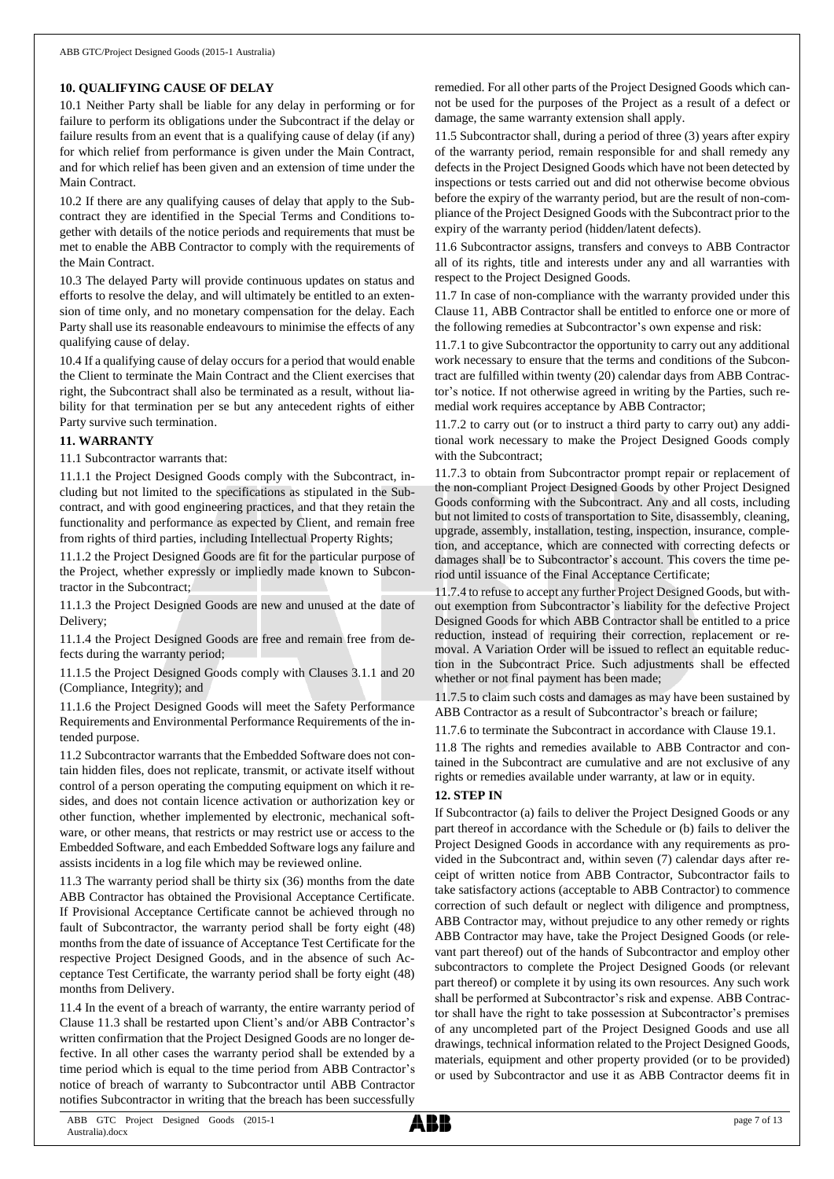#### **10. QUALIFYING CAUSE OF DELAY**

10.1 Neither Party shall be liable for any delay in performing or for failure to perform its obligations under the Subcontract if the delay or failure results from an event that is a qualifying cause of delay (if any) for which relief from performance is given under the Main Contract, and for which relief has been given and an extension of time under the Main Contract.

10.2 If there are any qualifying causes of delay that apply to the Subcontract they are identified in the Special Terms and Conditions together with details of the notice periods and requirements that must be met to enable the ABB Contractor to comply with the requirements of the Main Contract.

10.3 The delayed Party will provide continuous updates on status and efforts to resolve the delay, and will ultimately be entitled to an extension of time only, and no monetary compensation for the delay. Each Party shall use its reasonable endeavours to minimise the effects of any qualifying cause of delay.

10.4 If a qualifying cause of delay occurs for a period that would enable the Client to terminate the Main Contract and the Client exercises that right, the Subcontract shall also be terminated as a result, without liability for that termination per se but any antecedent rights of either Party survive such termination.

#### **11. WARRANTY**

11.1 Subcontractor warrants that:

11.1.1 the Project Designed Goods comply with the Subcontract, including but not limited to the specifications as stipulated in the Subcontract, and with good engineering practices, and that they retain the functionality and performance as expected by Client, and remain free from rights of third parties, including Intellectual Property Rights;

11.1.2 the Project Designed Goods are fit for the particular purpose of the Project, whether expressly or impliedly made known to Subcontractor in the Subcontract;

11.1.3 the Project Designed Goods are new and unused at the date of Delivery;

11.1.4 the Project Designed Goods are free and remain free from defects during the warranty period;

11.1.5 the Project Designed Goods comply with Clauses 3.1.1 and 20 (Compliance, Integrity); and

11.1.6 the Project Designed Goods will meet the Safety Performance Requirements and Environmental Performance Requirements of the intended purpose.

11.2 Subcontractor warrants that the Embedded Software does not contain hidden files, does not replicate, transmit, or activate itself without control of a person operating the computing equipment on which it resides, and does not contain licence activation or authorization key or other function, whether implemented by electronic, mechanical software, or other means, that restricts or may restrict use or access to the Embedded Software, and each Embedded Software logs any failure and assists incidents in a log file which may be reviewed online.

11.3 The warranty period shall be thirty six (36) months from the date ABB Contractor has obtained the Provisional Acceptance Certificate. If Provisional Acceptance Certificate cannot be achieved through no fault of Subcontractor, the warranty period shall be forty eight (48) months from the date of issuance of Acceptance Test Certificate for the respective Project Designed Goods, and in the absence of such Acceptance Test Certificate, the warranty period shall be forty eight (48) months from Delivery.

11.4 In the event of a breach of warranty, the entire warranty period of Clause 11.3 shall be restarted upon Client's and/or ABB Contractor's written confirmation that the Project Designed Goods are no longer defective. In all other cases the warranty period shall be extended by a time period which is equal to the time period from ABB Contractor's notice of breach of warranty to Subcontractor until ABB Contractor notifies Subcontractor in writing that the breach has been successfully

remedied. For all other parts of the Project Designed Goods which cannot be used for the purposes of the Project as a result of a defect or damage, the same warranty extension shall apply.

11.5 Subcontractor shall, during a period of three (3) years after expiry of the warranty period, remain responsible for and shall remedy any defects in the Project Designed Goods which have not been detected by inspections or tests carried out and did not otherwise become obvious before the expiry of the warranty period, but are the result of non-compliance of the Project Designed Goods with the Subcontract prior to the expiry of the warranty period (hidden/latent defects).

11.6 Subcontractor assigns, transfers and conveys to ABB Contractor all of its rights, title and interests under any and all warranties with respect to the Project Designed Goods.

11.7 In case of non-compliance with the warranty provided under this Clause 11, ABB Contractor shall be entitled to enforce one or more of the following remedies at Subcontractor's own expense and risk:

11.7.1 to give Subcontractor the opportunity to carry out any additional work necessary to ensure that the terms and conditions of the Subcontract are fulfilled within twenty (20) calendar days from ABB Contractor's notice. If not otherwise agreed in writing by the Parties, such remedial work requires acceptance by ABB Contractor;

11.7.2 to carry out (or to instruct a third party to carry out) any additional work necessary to make the Project Designed Goods comply with the Subcontract;

11.7.3 to obtain from Subcontractor prompt repair or replacement of the non-compliant Project Designed Goods by other Project Designed Goods conforming with the Subcontract. Any and all costs, including but not limited to costs of transportation to Site, disassembly, cleaning, upgrade, assembly, installation, testing, inspection, insurance, completion, and acceptance, which are connected with correcting defects or damages shall be to Subcontractor's account. This covers the time period until issuance of the Final Acceptance Certificate;

11.7.4 to refuse to accept any further Project Designed Goods, but without exemption from Subcontractor's liability for the defective Project Designed Goods for which ABB Contractor shall be entitled to a price reduction, instead of requiring their correction, replacement or removal. A Variation Order will be issued to reflect an equitable reduction in the Subcontract Price. Such adjustments shall be effected whether or not final payment has been made;

11.7.5 to claim such costs and damages as may have been sustained by ABB Contractor as a result of Subcontractor's breach or failure;

11.7.6 to terminate the Subcontract in accordance with Clause 19.1.

11.8 The rights and remedies available to ABB Contractor and contained in the Subcontract are cumulative and are not exclusive of any rights or remedies available under warranty, at law or in equity.

#### **12. STEP IN**

If Subcontractor (a) fails to deliver the Project Designed Goods or any part thereof in accordance with the Schedule or (b) fails to deliver the Project Designed Goods in accordance with any requirements as provided in the Subcontract and, within seven (7) calendar days after receipt of written notice from ABB Contractor, Subcontractor fails to take satisfactory actions (acceptable to ABB Contractor) to commence correction of such default or neglect with diligence and promptness, ABB Contractor may, without prejudice to any other remedy or rights ABB Contractor may have, take the Project Designed Goods (or relevant part thereof) out of the hands of Subcontractor and employ other subcontractors to complete the Project Designed Goods (or relevant part thereof) or complete it by using its own resources. Any such work shall be performed at Subcontractor's risk and expense. ABB Contractor shall have the right to take possession at Subcontractor's premises of any uncompleted part of the Project Designed Goods and use all drawings, technical information related to the Project Designed Goods, materials, equipment and other property provided (or to be provided) or used by Subcontractor and use it as ABB Contractor deems fit in

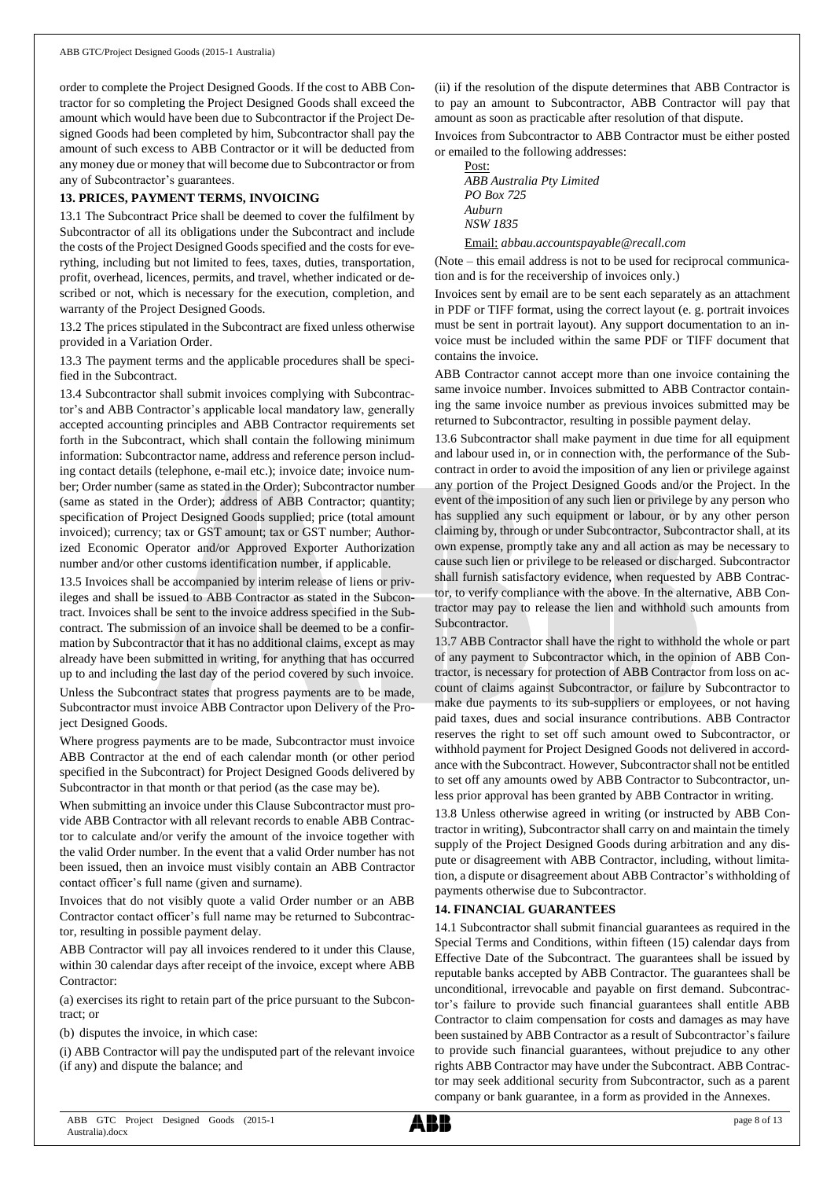order to complete the Project Designed Goods. If the cost to ABB Contractor for so completing the Project Designed Goods shall exceed the amount which would have been due to Subcontractor if the Project Designed Goods had been completed by him, Subcontractor shall pay the amount of such excess to ABB Contractor or it will be deducted from any money due or money that will become due to Subcontractor or from any of Subcontractor's guarantees.

#### **13. PRICES, PAYMENT TERMS, INVOICING**

13.1 The Subcontract Price shall be deemed to cover the fulfilment by Subcontractor of all its obligations under the Subcontract and include the costs of the Project Designed Goods specified and the costs for everything, including but not limited to fees, taxes, duties, transportation, profit, overhead, licences, permits, and travel, whether indicated or described or not, which is necessary for the execution, completion, and warranty of the Project Designed Goods.

13.2 The prices stipulated in the Subcontract are fixed unless otherwise provided in a Variation Order.

13.3 The payment terms and the applicable procedures shall be specified in the Subcontract.

13.4 Subcontractor shall submit invoices complying with Subcontractor's and ABB Contractor's applicable local mandatory law, generally accepted accounting principles and ABB Contractor requirements set forth in the Subcontract, which shall contain the following minimum information: Subcontractor name, address and reference person including contact details (telephone, e-mail etc.); invoice date; invoice number; Order number (same as stated in the Order); Subcontractor number (same as stated in the Order); address of ABB Contractor; quantity; specification of Project Designed Goods supplied; price (total amount invoiced); currency; tax or GST amount; tax or GST number; Authorized Economic Operator and/or Approved Exporter Authorization number and/or other customs identification number, if applicable.

13.5 Invoices shall be accompanied by interim release of liens or privileges and shall be issued to ABB Contractor as stated in the Subcontract. Invoices shall be sent to the invoice address specified in the Subcontract. The submission of an invoice shall be deemed to be a confirmation by Subcontractor that it has no additional claims, except as may already have been submitted in writing, for anything that has occurred up to and including the last day of the period covered by such invoice.

Unless the Subcontract states that progress payments are to be made, Subcontractor must invoice ABB Contractor upon Delivery of the Project Designed Goods.

Where progress payments are to be made, Subcontractor must invoice ABB Contractor at the end of each calendar month (or other period specified in the Subcontract) for Project Designed Goods delivered by Subcontractor in that month or that period (as the case may be).

When submitting an invoice under this Clause Subcontractor must provide ABB Contractor with all relevant records to enable ABB Contractor to calculate and/or verify the amount of the invoice together with the valid Order number. In the event that a valid Order number has not been issued, then an invoice must visibly contain an ABB Contractor contact officer's full name (given and surname).

Invoices that do not visibly quote a valid Order number or an ABB Contractor contact officer's full name may be returned to Subcontractor, resulting in possible payment delay.

ABB Contractor will pay all invoices rendered to it under this Clause, within 30 calendar days after receipt of the invoice, except where ABB Contractor:

(a) exercises its right to retain part of the price pursuant to the Subcontract; or

(b) disputes the invoice, in which case:

(i) ABB Contractor will pay the undisputed part of the relevant invoice (if any) and dispute the balance; and

(ii) if the resolution of the dispute determines that ABB Contractor is to pay an amount to Subcontractor, ABB Contractor will pay that amount as soon as practicable after resolution of that dispute.

Invoices from Subcontractor to ABB Contractor must be either posted or emailed to the following addresses:

| Post:                                   |
|-----------------------------------------|
| ABB Australia Pty Limited               |
| PO Box 725                              |
| Auburn                                  |
| NSW 1835                                |
| Email: abbau.accountspayable@recall.com |

(Note – this email address is not to be used for reciprocal communication and is for the receivership of invoices only.)

Invoices sent by email are to be sent each separately as an attachment in PDF or TIFF format, using the correct layout (e. g. portrait invoices must be sent in portrait layout). Any support documentation to an invoice must be included within the same PDF or TIFF document that contains the invoice.

ABB Contractor cannot accept more than one invoice containing the same invoice number. Invoices submitted to ABB Contractor containing the same invoice number as previous invoices submitted may be returned to Subcontractor, resulting in possible payment delay.

13.6 Subcontractor shall make payment in due time for all equipment and labour used in, or in connection with, the performance of the Subcontract in order to avoid the imposition of any lien or privilege against any portion of the Project Designed Goods and/or the Project. In the event of the imposition of any such lien or privilege by any person who has supplied any such equipment or labour, or by any other person claiming by, through or under Subcontractor, Subcontractor shall, at its own expense, promptly take any and all action as may be necessary to cause such lien or privilege to be released or discharged. Subcontractor shall furnish satisfactory evidence, when requested by ABB Contractor, to verify compliance with the above. In the alternative, ABB Contractor may pay to release the lien and withhold such amounts from Subcontractor.

13.7 ABB Contractor shall have the right to withhold the whole or part of any payment to Subcontractor which, in the opinion of ABB Contractor, is necessary for protection of ABB Contractor from loss on account of claims against Subcontractor, or failure by Subcontractor to make due payments to its sub-suppliers or employees, or not having paid taxes, dues and social insurance contributions. ABB Contractor reserves the right to set off such amount owed to Subcontractor, or withhold payment for Project Designed Goods not delivered in accordance with the Subcontract. However, Subcontractor shall not be entitled to set off any amounts owed by ABB Contractor to Subcontractor, unless prior approval has been granted by ABB Contractor in writing.

13.8 Unless otherwise agreed in writing (or instructed by ABB Contractor in writing), Subcontractorshall carry on and maintain the timely supply of the Project Designed Goods during arbitration and any dispute or disagreement with ABB Contractor, including, without limitation, a dispute or disagreement about ABB Contractor's withholding of payments otherwise due to Subcontractor.

## **14. FINANCIAL GUARANTEES**

14.1 Subcontractor shall submit financial guarantees as required in the Special Terms and Conditions, within fifteen (15) calendar days from Effective Date of the Subcontract. The guarantees shall be issued by reputable banks accepted by ABB Contractor. The guarantees shall be unconditional, irrevocable and payable on first demand. Subcontractor's failure to provide such financial guarantees shall entitle ABB Contractor to claim compensation for costs and damages as may have been sustained by ABB Contractor as a result of Subcontractor's failure to provide such financial guarantees, without prejudice to any other rights ABB Contractor may have under the Subcontract. ABB Contractor may seek additional security from Subcontractor, such as a parent company or bank guarantee, in a form as provided in the Annexes.

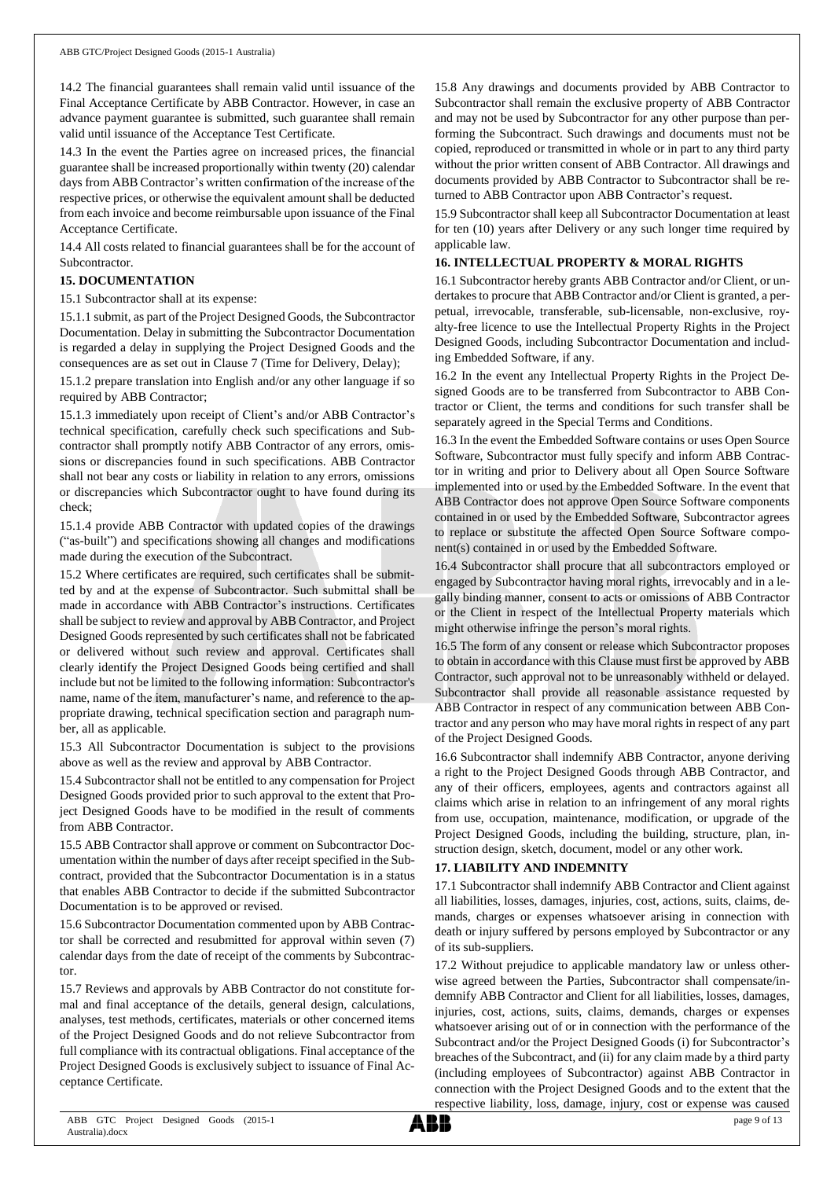14.2 The financial guarantees shall remain valid until issuance of the Final Acceptance Certificate by ABB Contractor. However, in case an advance payment guarantee is submitted, such guarantee shall remain valid until issuance of the Acceptance Test Certificate.

14.3 In the event the Parties agree on increased prices, the financial guarantee shall be increased proportionally within twenty (20) calendar days from ABB Contractor's written confirmation of the increase of the respective prices, or otherwise the equivalent amount shall be deducted from each invoice and become reimbursable upon issuance of the Final Acceptance Certificate.

14.4 All costs related to financial guarantees shall be for the account of Subcontractor.

### **15. DOCUMENTATION**

15.1 Subcontractor shall at its expense:

15.1.1 submit, as part of the Project Designed Goods, the Subcontractor Documentation. Delay in submitting the Subcontractor Documentation is regarded a delay in supplying the Project Designed Goods and the consequences are as set out in Clause 7 (Time for Delivery, Delay);

15.1.2 prepare translation into English and/or any other language if so required by ABB Contractor;

15.1.3 immediately upon receipt of Client's and/or ABB Contractor's technical specification, carefully check such specifications and Subcontractor shall promptly notify ABB Contractor of any errors, omissions or discrepancies found in such specifications. ABB Contractor shall not bear any costs or liability in relation to any errors, omissions or discrepancies which Subcontractor ought to have found during its check;

15.1.4 provide ABB Contractor with updated copies of the drawings ("as-built") and specifications showing all changes and modifications made during the execution of the Subcontract.

15.2 Where certificates are required, such certificates shall be submitted by and at the expense of Subcontractor. Such submittal shall be made in accordance with ABB Contractor's instructions. Certificates shall be subject to review and approval by ABB Contractor, and Project Designed Goods represented by such certificates shall not be fabricated or delivered without such review and approval. Certificates shall clearly identify the Project Designed Goods being certified and shall include but not be limited to the following information: Subcontractor's name, name of the item, manufacturer's name, and reference to the appropriate drawing, technical specification section and paragraph number, all as applicable.

15.3 All Subcontractor Documentation is subject to the provisions above as well as the review and approval by ABB Contractor.

15.4 Subcontractorshall not be entitled to any compensation for Project Designed Goods provided prior to such approval to the extent that Project Designed Goods have to be modified in the result of comments from ABB Contractor.

15.5 ABB Contractor shall approve or comment on Subcontractor Documentation within the number of days after receipt specified in the Subcontract, provided that the Subcontractor Documentation is in a status that enables ABB Contractor to decide if the submitted Subcontractor Documentation is to be approved or revised.

15.6 Subcontractor Documentation commented upon by ABB Contractor shall be corrected and resubmitted for approval within seven (7) calendar days from the date of receipt of the comments by Subcontractor.

15.7 Reviews and approvals by ABB Contractor do not constitute formal and final acceptance of the details, general design, calculations, analyses, test methods, certificates, materials or other concerned items of the Project Designed Goods and do not relieve Subcontractor from full compliance with its contractual obligations. Final acceptance of the Project Designed Goods is exclusively subject to issuance of Final Acceptance Certificate.

15.8 Any drawings and documents provided by ABB Contractor to Subcontractor shall remain the exclusive property of ABB Contractor and may not be used by Subcontractor for any other purpose than performing the Subcontract. Such drawings and documents must not be copied, reproduced or transmitted in whole or in part to any third party without the prior written consent of ABB Contractor. All drawings and documents provided by ABB Contractor to Subcontractor shall be returned to ABB Contractor upon ABB Contractor's request.

15.9 Subcontractor shall keep all Subcontractor Documentation at least for ten (10) years after Delivery or any such longer time required by applicable law.

## **16. INTELLECTUAL PROPERTY & MORAL RIGHTS**

16.1 Subcontractor hereby grants ABB Contractor and/or Client, or undertakes to procure that ABB Contractor and/or Client is granted, a perpetual, irrevocable, transferable, sub-licensable, non-exclusive, royalty-free licence to use the Intellectual Property Rights in the Project Designed Goods, including Subcontractor Documentation and including Embedded Software, if any.

16.2 In the event any Intellectual Property Rights in the Project Designed Goods are to be transferred from Subcontractor to ABB Contractor or Client, the terms and conditions for such transfer shall be separately agreed in the Special Terms and Conditions.

16.3 In the event the Embedded Software contains or uses Open Source Software, Subcontractor must fully specify and inform ABB Contractor in writing and prior to Delivery about all Open Source Software implemented into or used by the Embedded Software. In the event that ABB Contractor does not approve Open Source Software components contained in or used by the Embedded Software, Subcontractor agrees to replace or substitute the affected Open Source Software component(s) contained in or used by the Embedded Software.

16.4 Subcontractor shall procure that all subcontractors employed or engaged by Subcontractor having moral rights, irrevocably and in a legally binding manner, consent to acts or omissions of ABB Contractor or the Client in respect of the Intellectual Property materials which might otherwise infringe the person's moral rights.

16.5 The form of any consent or release which Subcontractor proposes to obtain in accordance with this Clause must first be approved by ABB Contractor, such approval not to be unreasonably withheld or delayed. Subcontractor shall provide all reasonable assistance requested by ABB Contractor in respect of any communication between ABB Contractor and any person who may have moral rights in respect of any part of the Project Designed Goods.

16.6 Subcontractor shall indemnify ABB Contractor, anyone deriving a right to the Project Designed Goods through ABB Contractor, and any of their officers, employees, agents and contractors against all claims which arise in relation to an infringement of any moral rights from use, occupation, maintenance, modification, or upgrade of the Project Designed Goods, including the building, structure, plan, instruction design, sketch, document, model or any other work.

## **17. LIABILITY AND INDEMNITY**

17.1 Subcontractor shall indemnify ABB Contractor and Client against all liabilities, losses, damages, injuries, cost, actions, suits, claims, demands, charges or expenses whatsoever arising in connection with death or injury suffered by persons employed by Subcontractor or any of its sub-suppliers.

17.2 Without prejudice to applicable mandatory law or unless otherwise agreed between the Parties, Subcontractor shall compensate/indemnify ABB Contractor and Client for all liabilities, losses, damages, injuries, cost, actions, suits, claims, demands, charges or expenses whatsoever arising out of or in connection with the performance of the Subcontract and/or the Project Designed Goods (i) for Subcontractor's breaches of the Subcontract, and (ii) for any claim made by a third party (including employees of Subcontractor) against ABB Contractor in connection with the Project Designed Goods and to the extent that the respective liability, loss, damage, injury, cost or expense was caused

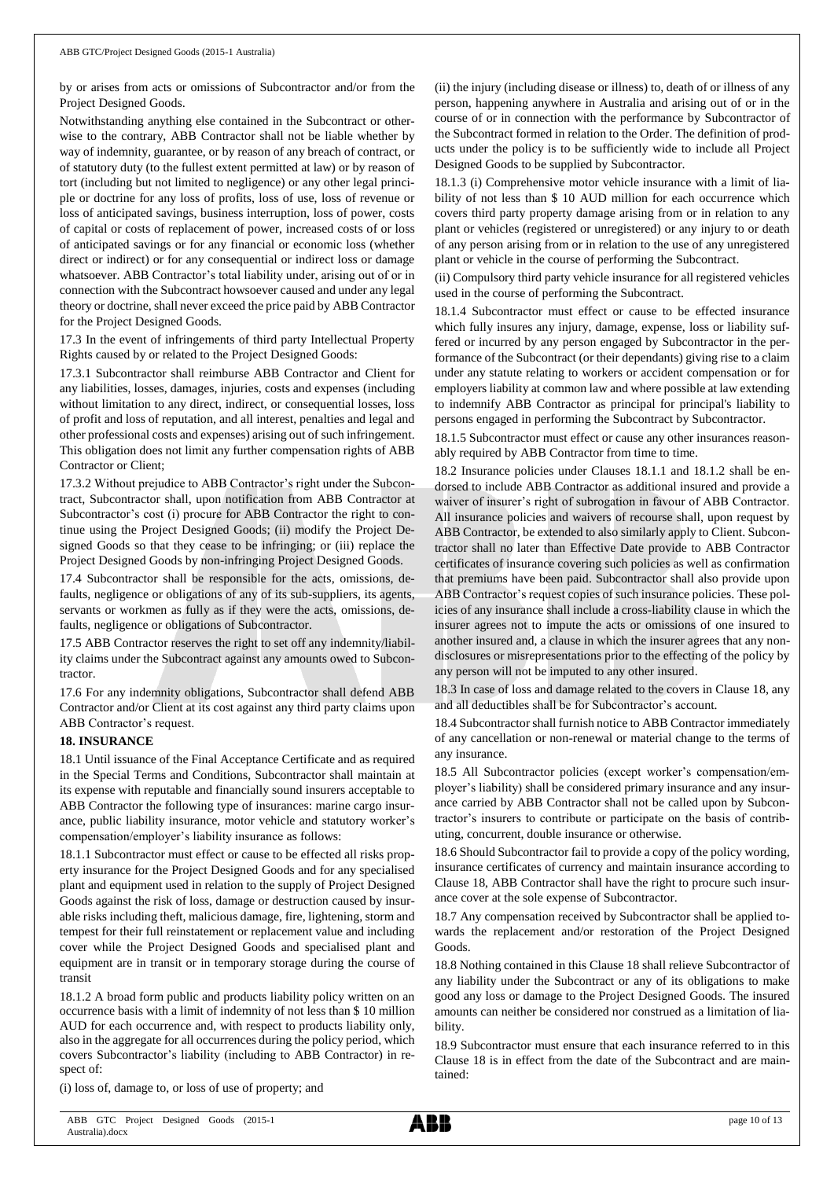by or arises from acts or omissions of Subcontractor and/or from the Project Designed Goods.

Notwithstanding anything else contained in the Subcontract or otherwise to the contrary, ABB Contractor shall not be liable whether by way of indemnity, guarantee, or by reason of any breach of contract, or of statutory duty (to the fullest extent permitted at law) or by reason of tort (including but not limited to negligence) or any other legal principle or doctrine for any loss of profits, loss of use, loss of revenue or loss of anticipated savings, business interruption, loss of power, costs of capital or costs of replacement of power, increased costs of or loss of anticipated savings or for any financial or economic loss (whether direct or indirect) or for any consequential or indirect loss or damage whatsoever. ABB Contractor's total liability under, arising out of or in connection with the Subcontract howsoever caused and under any legal theory or doctrine, shall never exceed the price paid by ABB Contractor for the Project Designed Goods.

17.3 In the event of infringements of third party Intellectual Property Rights caused by or related to the Project Designed Goods:

17.3.1 Subcontractor shall reimburse ABB Contractor and Client for any liabilities, losses, damages, injuries, costs and expenses (including without limitation to any direct, indirect, or consequential losses, loss of profit and loss of reputation, and all interest, penalties and legal and other professional costs and expenses) arising out of such infringement. This obligation does not limit any further compensation rights of ABB Contractor or Client;

17.3.2 Without prejudice to ABB Contractor's right under the Subcontract, Subcontractor shall, upon notification from ABB Contractor at Subcontractor's cost (i) procure for ABB Contractor the right to continue using the Project Designed Goods; (ii) modify the Project Designed Goods so that they cease to be infringing; or (iii) replace the Project Designed Goods by non-infringing Project Designed Goods.

17.4 Subcontractor shall be responsible for the acts, omissions, defaults, negligence or obligations of any of its sub-suppliers, its agents, servants or workmen as fully as if they were the acts, omissions, defaults, negligence or obligations of Subcontractor.

17.5 ABB Contractor reserves the right to set off any indemnity/liability claims under the Subcontract against any amounts owed to Subcontractor.

17.6 For any indemnity obligations, Subcontractor shall defend ABB Contractor and/or Client at its cost against any third party claims upon ABB Contractor's request.

#### **18. INSURANCE**

18.1 Until issuance of the Final Acceptance Certificate and as required in the Special Terms and Conditions, Subcontractor shall maintain at its expense with reputable and financially sound insurers acceptable to ABB Contractor the following type of insurances: marine cargo insurance, public liability insurance, motor vehicle and statutory worker's compensation/employer's liability insurance as follows:

18.1.1 Subcontractor must effect or cause to be effected all risks property insurance for the Project Designed Goods and for any specialised plant and equipment used in relation to the supply of Project Designed Goods against the risk of loss, damage or destruction caused by insurable risks including theft, malicious damage, fire, lightening, storm and tempest for their full reinstatement or replacement value and including cover while the Project Designed Goods and specialised plant and equipment are in transit or in temporary storage during the course of transit

18.1.2 A broad form public and products liability policy written on an occurrence basis with a limit of indemnity of not less than \$ 10 million AUD for each occurrence and, with respect to products liability only, also in the aggregate for all occurrences during the policy period, which covers Subcontractor's liability (including to ABB Contractor) in respect of:

(i) loss of, damage to, or loss of use of property; and

(ii) the injury (including disease or illness) to, death of or illness of any person, happening anywhere in Australia and arising out of or in the course of or in connection with the performance by Subcontractor of the Subcontract formed in relation to the Order. The definition of products under the policy is to be sufficiently wide to include all Project Designed Goods to be supplied by Subcontractor.

18.1.3 (i) Comprehensive motor vehicle insurance with a limit of liability of not less than \$ 10 AUD million for each occurrence which covers third party property damage arising from or in relation to any plant or vehicles (registered or unregistered) or any injury to or death of any person arising from or in relation to the use of any unregistered plant or vehicle in the course of performing the Subcontract.

(ii) Compulsory third party vehicle insurance for all registered vehicles used in the course of performing the Subcontract.

18.1.4 Subcontractor must effect or cause to be effected insurance which fully insures any injury, damage, expense, loss or liability suffered or incurred by any person engaged by Subcontractor in the performance of the Subcontract (or their dependants) giving rise to a claim under any statute relating to workers or accident compensation or for employers liability at common law and where possible at law extending to indemnify ABB Contractor as principal for principal's liability to persons engaged in performing the Subcontract by Subcontractor.

18.1.5 Subcontractor must effect or cause any other insurances reasonably required by ABB Contractor from time to time.

18.2 Insurance policies under Clauses 18.1.1 and 18.1.2 shall be endorsed to include ABB Contractor as additional insured and provide a waiver of insurer's right of subrogation in favour of ABB Contractor. All insurance policies and waivers of recourse shall, upon request by ABB Contractor, be extended to also similarly apply to Client. Subcontractor shall no later than Effective Date provide to ABB Contractor certificates of insurance covering such policies as well as confirmation that premiums have been paid. Subcontractor shall also provide upon ABB Contractor's request copies of such insurance policies. These policies of any insurance shall include a cross-liability clause in which the insurer agrees not to impute the acts or omissions of one insured to another insured and, a clause in which the insurer agrees that any nondisclosures or misrepresentations prior to the effecting of the policy by any person will not be imputed to any other insured.

18.3 In case of loss and damage related to the covers in Clause 18, any and all deductibles shall be for Subcontractor's account.

18.4 Subcontractor shall furnish notice to ABB Contractor immediately of any cancellation or non-renewal or material change to the terms of any insurance.

18.5 All Subcontractor policies (except worker's compensation/employer's liability) shall be considered primary insurance and any insurance carried by ABB Contractor shall not be called upon by Subcontractor's insurers to contribute or participate on the basis of contributing, concurrent, double insurance or otherwise.

18.6 Should Subcontractor fail to provide a copy of the policy wording, insurance certificates of currency and maintain insurance according to Clause 18, ABB Contractor shall have the right to procure such insurance cover at the sole expense of Subcontractor.

18.7 Any compensation received by Subcontractor shall be applied towards the replacement and/or restoration of the Project Designed Goods.

18.8 Nothing contained in this Clause 18 shall relieve Subcontractor of any liability under the Subcontract or any of its obligations to make good any loss or damage to the Project Designed Goods. The insured amounts can neither be considered nor construed as a limitation of liability.

18.9 Subcontractor must ensure that each insurance referred to in this Clause 18 is in effect from the date of the Subcontract and are maintained:

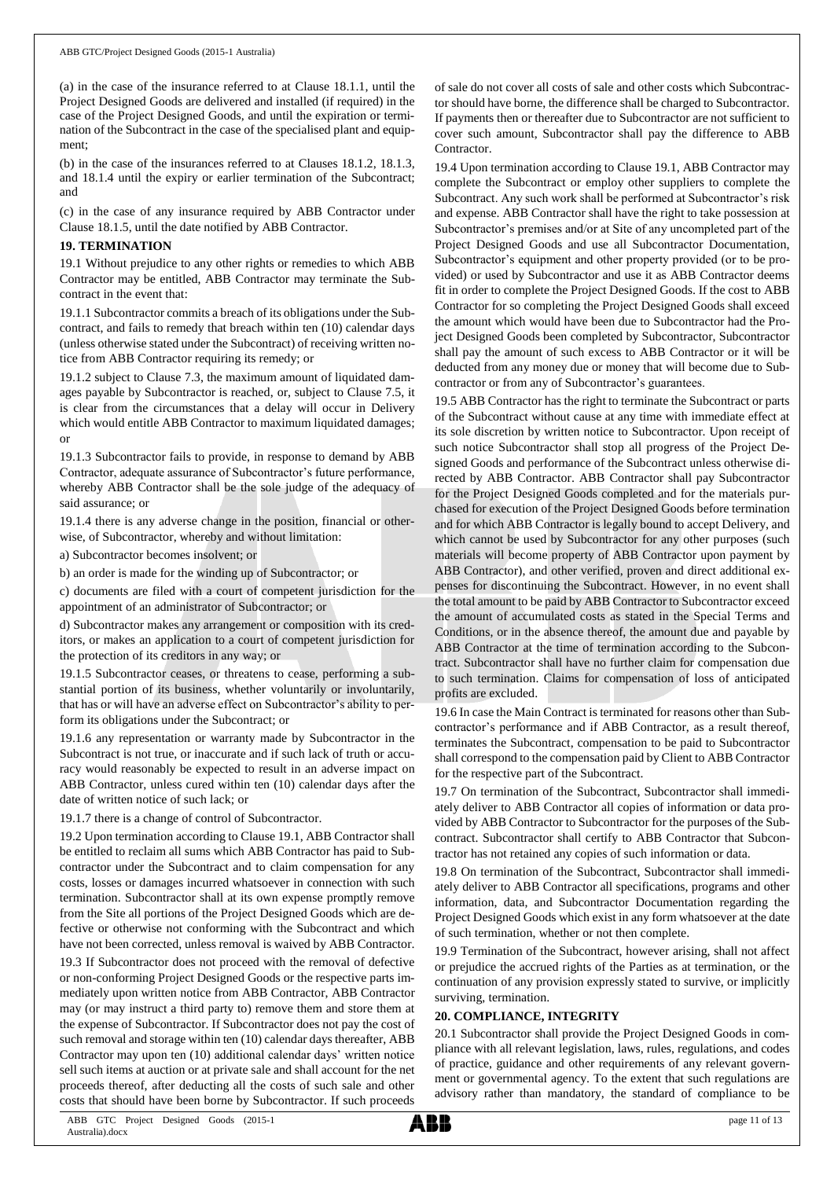(a) in the case of the insurance referred to at Clause 18.1.1, until the Project Designed Goods are delivered and installed (if required) in the case of the Project Designed Goods, and until the expiration or termination of the Subcontract in the case of the specialised plant and equipment;

(b) in the case of the insurances referred to at Clauses 18.1.2, 18.1.3, and 18.1.4 until the expiry or earlier termination of the Subcontract; and

(c) in the case of any insurance required by ABB Contractor under Clause 18.1.5, until the date notified by ABB Contractor.

#### **19. TERMINATION**

19.1 Without prejudice to any other rights or remedies to which ABB Contractor may be entitled, ABB Contractor may terminate the Subcontract in the event that:

19.1.1 Subcontractor commits a breach of its obligations under the Subcontract, and fails to remedy that breach within ten (10) calendar days (unless otherwise stated under the Subcontract) of receiving written notice from ABB Contractor requiring its remedy; or

19.1.2 subject to Clause 7.3, the maximum amount of liquidated damages payable by Subcontractor is reached, or, subject to Clause 7.5, it is clear from the circumstances that a delay will occur in Delivery which would entitle ABB Contractor to maximum liquidated damages; or

19.1.3 Subcontractor fails to provide, in response to demand by ABB Contractor, adequate assurance of Subcontractor's future performance, whereby ABB Contractor shall be the sole judge of the adequacy of said assurance; or

19.1.4 there is any adverse change in the position, financial or otherwise, of Subcontractor, whereby and without limitation:

a) Subcontractor becomes insolvent; or

b) an order is made for the winding up of Subcontractor; or

c) documents are filed with a court of competent jurisdiction for the appointment of an administrator of Subcontractor; or

d) Subcontractor makes any arrangement or composition with its creditors, or makes an application to a court of competent jurisdiction for the protection of its creditors in any way; or

19.1.5 Subcontractor ceases, or threatens to cease, performing a substantial portion of its business, whether voluntarily or involuntarily, that has or will have an adverse effect on Subcontractor's ability to perform its obligations under the Subcontract; or

19.1.6 any representation or warranty made by Subcontractor in the Subcontract is not true, or inaccurate and if such lack of truth or accuracy would reasonably be expected to result in an adverse impact on ABB Contractor, unless cured within ten (10) calendar days after the date of written notice of such lack; or

19.1.7 there is a change of control of Subcontractor.

19.2 Upon termination according to Clause 19.1, ABB Contractor shall be entitled to reclaim all sums which ABB Contractor has paid to Subcontractor under the Subcontract and to claim compensation for any costs, losses or damages incurred whatsoever in connection with such termination. Subcontractor shall at its own expense promptly remove from the Site all portions of the Project Designed Goods which are defective or otherwise not conforming with the Subcontract and which have not been corrected, unless removal is waived by ABB Contractor.

19.3 If Subcontractor does not proceed with the removal of defective or non-conforming Project Designed Goods or the respective parts immediately upon written notice from ABB Contractor, ABB Contractor may (or may instruct a third party to) remove them and store them at the expense of Subcontractor. If Subcontractor does not pay the cost of such removal and storage within ten (10) calendar days thereafter, ABB Contractor may upon ten (10) additional calendar days' written notice sell such items at auction or at private sale and shall account for the net proceeds thereof, after deducting all the costs of such sale and other costs that should have been borne by Subcontractor. If such proceeds

of sale do not cover all costs of sale and other costs which Subcontractor should have borne, the difference shall be charged to Subcontractor. If payments then or thereafter due to Subcontractor are not sufficient to cover such amount, Subcontractor shall pay the difference to ABB **Contractor** 

19.4 Upon termination according to Clause 19.1, ABB Contractor may complete the Subcontract or employ other suppliers to complete the Subcontract. Any such work shall be performed at Subcontractor's risk and expense. ABB Contractor shall have the right to take possession at Subcontractor's premises and/or at Site of any uncompleted part of the Project Designed Goods and use all Subcontractor Documentation, Subcontractor's equipment and other property provided (or to be provided) or used by Subcontractor and use it as ABB Contractor deems fit in order to complete the Project Designed Goods. If the cost to ABB Contractor for so completing the Project Designed Goods shall exceed the amount which would have been due to Subcontractor had the Project Designed Goods been completed by Subcontractor, Subcontractor shall pay the amount of such excess to ABB Contractor or it will be deducted from any money due or money that will become due to Subcontractor or from any of Subcontractor's guarantees.

19.5 ABB Contractor has the right to terminate the Subcontract or parts of the Subcontract without cause at any time with immediate effect at its sole discretion by written notice to Subcontractor. Upon receipt of such notice Subcontractor shall stop all progress of the Project Designed Goods and performance of the Subcontract unless otherwise directed by ABB Contractor. ABB Contractor shall pay Subcontractor for the Project Designed Goods completed and for the materials purchased for execution of the Project Designed Goods before termination and for which ABB Contractor is legally bound to accept Delivery, and which cannot be used by Subcontractor for any other purposes (such materials will become property of ABB Contractor upon payment by ABB Contractor), and other verified, proven and direct additional expenses for discontinuing the Subcontract. However, in no event shall the total amount to be paid by ABB Contractor to Subcontractor exceed the amount of accumulated costs as stated in the Special Terms and Conditions, or in the absence thereof, the amount due and payable by ABB Contractor at the time of termination according to the Subcontract. Subcontractor shall have no further claim for compensation due to such termination. Claims for compensation of loss of anticipated profits are excluded.

19.6 In case the Main Contract is terminated for reasons other than Subcontractor's performance and if ABB Contractor, as a result thereof, terminates the Subcontract, compensation to be paid to Subcontractor shall correspond to the compensation paid by Client to ABB Contractor for the respective part of the Subcontract.

19.7 On termination of the Subcontract, Subcontractor shall immediately deliver to ABB Contractor all copies of information or data provided by ABB Contractor to Subcontractor for the purposes of the Subcontract. Subcontractor shall certify to ABB Contractor that Subcontractor has not retained any copies of such information or data.

19.8 On termination of the Subcontract, Subcontractor shall immediately deliver to ABB Contractor all specifications, programs and other information, data, and Subcontractor Documentation regarding the Project Designed Goods which exist in any form whatsoever at the date of such termination, whether or not then complete.

19.9 Termination of the Subcontract, however arising, shall not affect or prejudice the accrued rights of the Parties as at termination, or the continuation of any provision expressly stated to survive, or implicitly surviving, termination.

#### **20. COMPLIANCE, INTEGRITY**

20.1 Subcontractor shall provide the Project Designed Goods in compliance with all relevant legislation, laws, rules, regulations, and codes of practice, guidance and other requirements of any relevant government or governmental agency. To the extent that such regulations are advisory rather than mandatory, the standard of compliance to be

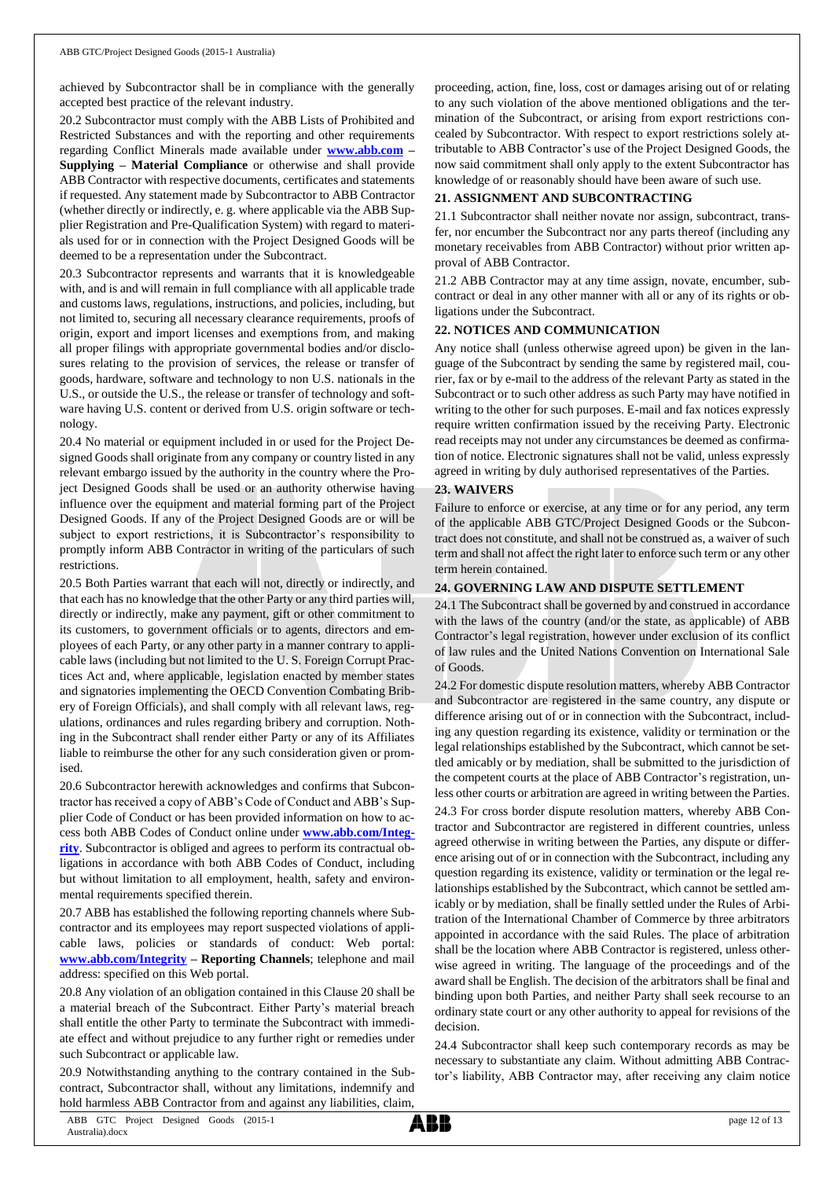achieved by Subcontractor shall be in compliance with the generally accepted best practice of the relevant industry.

20.2 Subcontractor must comply with the ABB Lists of Prohibited and Restricted Substances and with the reporting and other requirements regarding Conflict Minerals made available under **[www.abb.com](http://www.abb.com/) – Supplying – Material Compliance** or otherwise and shall provide ABB Contractor with respective documents, certificates and statements if requested. Any statement made by Subcontractor to ABB Contractor (whether directly or indirectly, e. g. where applicable via the ABB Supplier Registration and Pre-Qualification System) with regard to materials used for or in connection with the Project Designed Goods will be deemed to be a representation under the Subcontract.

20.3 Subcontractor represents and warrants that it is knowledgeable with, and is and will remain in full compliance with all applicable trade and customs laws, regulations, instructions, and policies, including, but not limited to, securing all necessary clearance requirements, proofs of origin, export and import licenses and exemptions from, and making all proper filings with appropriate governmental bodies and/or disclosures relating to the provision of services, the release or transfer of goods, hardware, software and technology to non U.S. nationals in the U.S., or outside the U.S., the release or transfer of technology and software having U.S. content or derived from U.S. origin software or technology.

20.4 No material or equipment included in or used for the Project Designed Goods shall originate from any company or country listed in any relevant embargo issued by the authority in the country where the Project Designed Goods shall be used or an authority otherwise having influence over the equipment and material forming part of the Project Designed Goods. If any of the Project Designed Goods are or will be subject to export restrictions, it is Subcontractor's responsibility to promptly inform ABB Contractor in writing of the particulars of such restrictions.

20.5 Both Parties warrant that each will not, directly or indirectly, and that each has no knowledge that the other Party or any third parties will, directly or indirectly, make any payment, gift or other commitment to its customers, to government officials or to agents, directors and employees of each Party, or any other party in a manner contrary to applicable laws (including but not limited to the U. S. Foreign Corrupt Practices Act and, where applicable, legislation enacted by member states and signatories implementing the OECD Convention Combating Bribery of Foreign Officials), and shall comply with all relevant laws, regulations, ordinances and rules regarding bribery and corruption. Nothing in the Subcontract shall render either Party or any of its Affiliates liable to reimburse the other for any such consideration given or promised.

20.6 Subcontractor herewith acknowledges and confirms that Subcontractor has received a copy of ABB's Code of Conduct and ABB's Supplier Code of Conduct or has been provided information on how to access both ABB Codes of Conduct online under **[www.abb.com/Integ](http://www.abb.com/Integrity)[rity](http://www.abb.com/Integrity)**. Subcontractor is obliged and agrees to perform its contractual obligations in accordance with both ABB Codes of Conduct, including but without limitation to all employment, health, safety and environmental requirements specified therein.

20.7 ABB has established the following reporting channels where Subcontractor and its employees may report suspected violations of applicable laws, policies or standards of conduct: Web portal: **[www.abb.com/Integrity](http://www.abb.com/Integrity) – Reporting Channels**; telephone and mail address: specified on this Web portal.

20.8 Any violation of an obligation contained in this Clause 20 shall be a material breach of the Subcontract. Either Party's material breach shall entitle the other Party to terminate the Subcontract with immediate effect and without prejudice to any further right or remedies under such Subcontract or applicable law.

20.9 Notwithstanding anything to the contrary contained in the Subcontract, Subcontractor shall, without any limitations, indemnify and hold harmless ABB Contractor from and against any liabilities, claim,

proceeding, action, fine, loss, cost or damages arising out of or relating to any such violation of the above mentioned obligations and the termination of the Subcontract, or arising from export restrictions concealed by Subcontractor. With respect to export restrictions solely attributable to ABB Contractor's use of the Project Designed Goods, the now said commitment shall only apply to the extent Subcontractor has knowledge of or reasonably should have been aware of such use.

### **21. ASSIGNMENT AND SUBCONTRACTING**

21.1 Subcontractor shall neither novate nor assign, subcontract, transfer, nor encumber the Subcontract nor any parts thereof (including any monetary receivables from ABB Contractor) without prior written approval of ABB Contractor.

21.2 ABB Contractor may at any time assign, novate, encumber, subcontract or deal in any other manner with all or any of its rights or obligations under the Subcontract.

### **22. NOTICES AND COMMUNICATION**

Any notice shall (unless otherwise agreed upon) be given in the language of the Subcontract by sending the same by registered mail, courier, fax or by e-mail to the address of the relevant Party as stated in the Subcontract or to such other address as such Party may have notified in writing to the other for such purposes. E-mail and fax notices expressly require written confirmation issued by the receiving Party. Electronic read receipts may not under any circumstances be deemed as confirmation of notice. Electronic signatures shall not be valid, unless expressly agreed in writing by duly authorised representatives of the Parties.

## **23. WAIVERS**

Failure to enforce or exercise, at any time or for any period, any term of the applicable ABB GTC/Project Designed Goods or the Subcontract does not constitute, and shall not be construed as, a waiver of such term and shall not affect the right later to enforce such term or any other term herein contained.

#### **24. GOVERNING LAW AND DISPUTE SETTLEMENT**

24.1 The Subcontract shall be governed by and construed in accordance with the laws of the country (and/or the state, as applicable) of ABB Contractor's legal registration, however under exclusion of its conflict of law rules and the United Nations Convention on International Sale of Goods.

24.2 For domestic dispute resolution matters, whereby ABB Contractor and Subcontractor are registered in the same country, any dispute or difference arising out of or in connection with the Subcontract, including any question regarding its existence, validity or termination or the legal relationships established by the Subcontract, which cannot be settled amicably or by mediation, shall be submitted to the jurisdiction of the competent courts at the place of ABB Contractor's registration, unless other courts or arbitration are agreed in writing between the Parties.

24.3 For cross border dispute resolution matters, whereby ABB Contractor and Subcontractor are registered in different countries, unless agreed otherwise in writing between the Parties, any dispute or difference arising out of or in connection with the Subcontract, including any question regarding its existence, validity or termination or the legal relationships established by the Subcontract, which cannot be settled amicably or by mediation, shall be finally settled under the Rules of Arbitration of the International Chamber of Commerce by three arbitrators appointed in accordance with the said Rules. The place of arbitration shall be the location where ABB Contractor is registered, unless otherwise agreed in writing. The language of the proceedings and of the award shall be English. The decision of the arbitrators shall be final and binding upon both Parties, and neither Party shall seek recourse to an ordinary state court or any other authority to appeal for revisions of the decision.

24.4 Subcontractor shall keep such contemporary records as may be necessary to substantiate any claim. Without admitting ABB Contractor's liability, ABB Contractor may, after receiving any claim notice